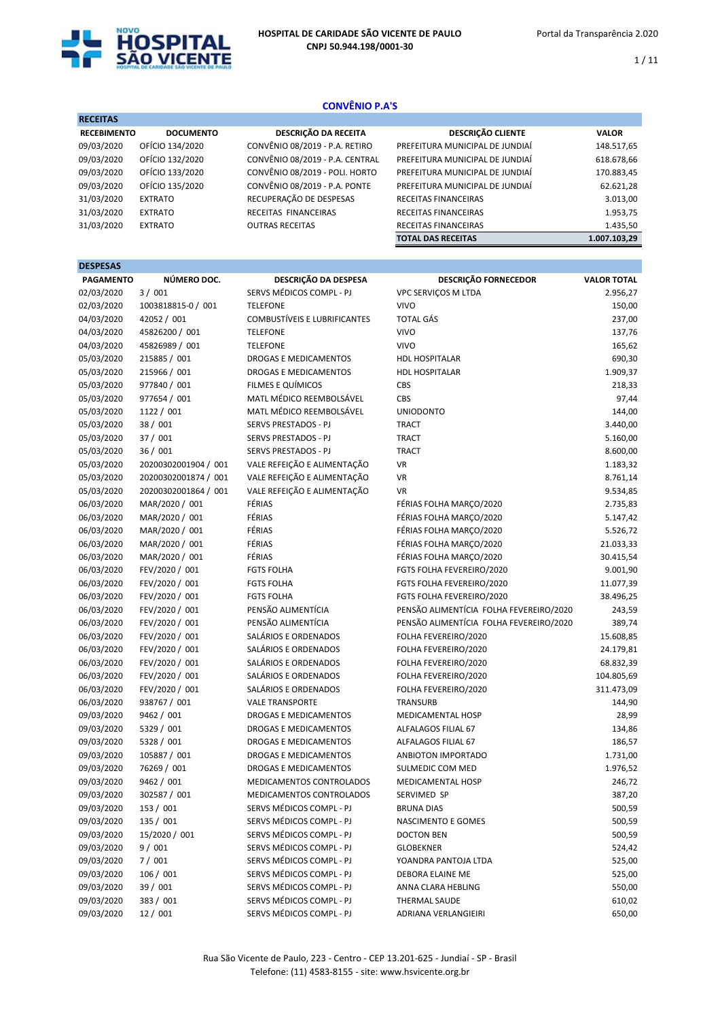

 $1 / 11$ 

# CONVÊNIO P.A'S

| <b>RECEITAS</b>    |                  |                                 |                                 |              |
|--------------------|------------------|---------------------------------|---------------------------------|--------------|
| <b>RECEBIMENTO</b> | <b>DOCUMENTO</b> | DESCRIÇÃO DA RECEITA            | <b>DESCRIÇÃO CLIENTE</b>        | <b>VALOR</b> |
| 09/03/2020         | OFÍCIO 134/2020  | CONVÊNIO 08/2019 - P.A. RETIRO  | PREFEITURA MUNICIPAL DE JUNDIAÍ | 148.517,65   |
| 09/03/2020         | OFÍCIO 132/2020  | CONVÊNIO 08/2019 - P.A. CENTRAL | PREFEITURA MUNICIPAL DE JUNDIAÍ | 618.678,66   |
| 09/03/2020         | OFÍCIO 133/2020  | CONVÊNIO 08/2019 - POLI. HORTO  | PREFEITURA MUNICIPAL DE JUNDIAÍ | 170.883,45   |
| 09/03/2020         | OFÍCIO 135/2020  | CONVÊNIO 08/2019 - P.A. PONTE   | PREFEITURA MUNICIPAL DE JUNDIAÍ | 62.621,28    |
| 31/03/2020         | <b>EXTRATO</b>   | RECUPERAÇÃO DE DESPESAS         | RECEITAS FINANCEIRAS            | 3.013,00     |
| 31/03/2020         | <b>EXTRATO</b>   | RECEITAS FINANCEIRAS            | RECEITAS FINANCEIRAS            | 1.953,75     |
| 31/03/2020         | <b>EXTRATO</b>   | <b>OUTRAS RECEITAS</b>          | RECEITAS FINANCEIRAS            | 1.435,50     |
|                    |                  |                                 | <b>TOTAL DAS RECEITAS</b>       | 1.007.103.29 |

| <b>DESPESAS</b>  |                      |                              |                                         |                    |
|------------------|----------------------|------------------------------|-----------------------------------------|--------------------|
| <b>PAGAMENTO</b> | NÚMERO DOC.          | DESCRIÇÃO DA DESPESA         | <b>DESCRIÇÃO FORNECEDOR</b>             | <b>VALOR TOTAL</b> |
| 02/03/2020       | 3/001                | SERVS MÉDICOS COMPL - PJ     | VPC SERVICOS M LTDA                     | 2.956,27           |
| 02/03/2020       | 1003818815-0 / 001   | <b>TELEFONE</b>              | <b>VIVO</b>                             | 150,00             |
| 04/03/2020       | 42052 / 001          | COMBUSTÍVEIS E LUBRIFICANTES | <b>TOTAL GÁS</b>                        | 237,00             |
| 04/03/2020       | 45826200 / 001       | <b>TELEFONE</b>              | <b>VIVO</b>                             | 137,76             |
| 04/03/2020       | 45826989 / 001       | <b>TELEFONE</b>              | <b>VIVO</b>                             | 165,62             |
| 05/03/2020       | 215885 / 001         | DROGAS E MEDICAMENTOS        | <b>HDL HOSPITALAR</b>                   | 690,30             |
| 05/03/2020       | 215966 / 001         | DROGAS E MEDICAMENTOS        | <b>HDL HOSPITALAR</b>                   | 1.909,37           |
| 05/03/2020       | 977840 / 001         | FILMES E QUÍMICOS            | CBS                                     | 218,33             |
| 05/03/2020       | 977654 / 001         | MATL MÉDICO REEMBOLSÁVEL     | <b>CBS</b>                              | 97,44              |
| 05/03/2020       | 1122 / 001           | MATL MÉDICO REEMBOLSÁVEL     | <b>UNIODONTO</b>                        | 144,00             |
| 05/03/2020       | 38 / 001             | SERVS PRESTADOS - PJ         | <b>TRACT</b>                            | 3.440,00           |
| 05/03/2020       | 37 / 001             | SERVS PRESTADOS - PJ         | <b>TRACT</b>                            | 5.160,00           |
| 05/03/2020       | 36/001               | SERVS PRESTADOS - PJ         | <b>TRACT</b>                            | 8.600,00           |
| 05/03/2020       | 20200302001904 / 001 | VALE REFEIÇÃO E ALIMENTAÇÃO  | <b>VR</b>                               | 1.183,32           |
| 05/03/2020       | 20200302001874 / 001 | VALE REFEIÇÃO E ALIMENTAÇÃO  | <b>VR</b>                               | 8.761,14           |
| 05/03/2020       | 20200302001864 / 001 | VALE REFEIÇÃO E ALIMENTAÇÃO  | <b>VR</b>                               | 9.534,85           |
| 06/03/2020       | MAR/2020 / 001       | FÉRIAS                       | FÉRIAS FOLHA MARCO/2020                 | 2.735,83           |
| 06/03/2020       | MAR/2020 / 001       | FÉRIAS                       | FÉRIAS FOLHA MARÇO/2020                 | 5.147,42           |
| 06/03/2020       | MAR/2020 / 001       | FÉRIAS                       | FÉRIAS FOLHA MARCO/2020                 | 5.526,72           |
| 06/03/2020       | MAR/2020 / 001       | FÉRIAS                       | FÉRIAS FOLHA MARÇO/2020                 | 21.033,33          |
| 06/03/2020       | MAR/2020 / 001       | FÉRIAS                       | FÉRIAS FOLHA MARÇO/2020                 | 30.415,54          |
| 06/03/2020       | FEV/2020 / 001       | <b>FGTS FOLHA</b>            | FGTS FOLHA FEVEREIRO/2020               | 9.001,90           |
| 06/03/2020       | FEV/2020 / 001       | <b>FGTS FOLHA</b>            | FGTS FOLHA FEVEREIRO/2020               | 11.077,39          |
| 06/03/2020       | FEV/2020 / 001       | <b>FGTS FOLHA</b>            | FGTS FOLHA FEVEREIRO/2020               | 38.496,25          |
| 06/03/2020       | FEV/2020 / 001       | PENSÃO ALIMENTÍCIA           | PENSÃO ALIMENTÍCIA FOLHA FEVEREIRO/2020 | 243,59             |
| 06/03/2020       | FEV/2020 / 001       | PENSÃO ALIMENTÍCIA           | PENSÃO ALIMENTÍCIA FOLHA FEVEREIRO/2020 | 389,74             |
| 06/03/2020       | FEV/2020 / 001       | SALÁRIOS E ORDENADOS         | FOLHA FEVEREIRO/2020                    | 15.608,85          |
| 06/03/2020       | FEV/2020 / 001       | SALÁRIOS E ORDENADOS         | FOLHA FEVEREIRO/2020                    | 24.179,81          |
| 06/03/2020       | FEV/2020 / 001       | SALÁRIOS E ORDENADOS         | FOLHA FEVEREIRO/2020                    | 68.832,39          |
| 06/03/2020       | FEV/2020 / 001       | SALÁRIOS E ORDENADOS         | FOLHA FEVEREIRO/2020                    | 104.805,69         |
| 06/03/2020       | FEV/2020 / 001       | SALÁRIOS E ORDENADOS         | FOLHA FEVEREIRO/2020                    | 311.473,09         |
| 06/03/2020       | 938767 / 001         | <b>VALE TRANSPORTE</b>       | <b>TRANSURB</b>                         | 144,90             |
| 09/03/2020       | 9462 / 001           | DROGAS E MEDICAMENTOS        | MEDICAMENTAL HOSP                       | 28,99              |
| 09/03/2020       | 5329 / 001           | DROGAS E MEDICAMENTOS        | ALFALAGOS FILIAL 67                     | 134,86             |
| 09/03/2020       | 5328 / 001           | DROGAS E MEDICAMENTOS        | ALFALAGOS FILIAL 67                     | 186,57             |
| 09/03/2020       | 105887 / 001         | DROGAS E MEDICAMENTOS        | ANBIOTON IMPORTADO                      | 1.731,00           |
| 09/03/2020       | 76269 / 001          | DROGAS E MEDICAMENTOS        | SULMEDIC COM MED                        | 1.976,52           |
| 09/03/2020       | 9462 / 001           | MEDICAMENTOS CONTROLADOS     | MEDICAMENTAL HOSP                       | 246,72             |
| 09/03/2020       | 302587 / 001         | MEDICAMENTOS CONTROLADOS     | SERVIMED SP                             | 387,20             |
| 09/03/2020       | 153 / 001            | SERVS MÉDICOS COMPL - PJ     | <b>BRUNA DIAS</b>                       | 500,59             |
| 09/03/2020       | 135 / 001            | SERVS MÉDICOS COMPL - PJ     | NASCIMENTO E GOMES                      | 500,59             |
| 09/03/2020       | 15/2020 / 001        | SERVS MÉDICOS COMPL - PJ     | <b>DOCTON BEN</b>                       | 500,59             |
| 09/03/2020       | 9/001                | SERVS MÉDICOS COMPL - PJ     | GLOBEKNER                               | 524,42             |
| 09/03/2020       | 7/001                | SERVS MÉDICOS COMPL - PJ     | YOANDRA PANTOJA LTDA                    | 525,00             |
| 09/03/2020       | 106/001              | SERVS MÉDICOS COMPL - PJ     | DEBORA ELAINE ME                        | 525,00             |
| 09/03/2020       | 39 / 001             | SERVS MÉDICOS COMPL - PJ     | ANNA CLARA HEBLING                      | 550,00             |
| 09/03/2020       | 383 / 001            | SERVS MÉDICOS COMPL - PJ     | THERMAL SAUDE                           | 610,02             |
| 09/03/2020       | 12 / 001             | SERVS MÉDICOS COMPL - PJ     | ADRIANA VERLANGIEIRI                    | 650,00             |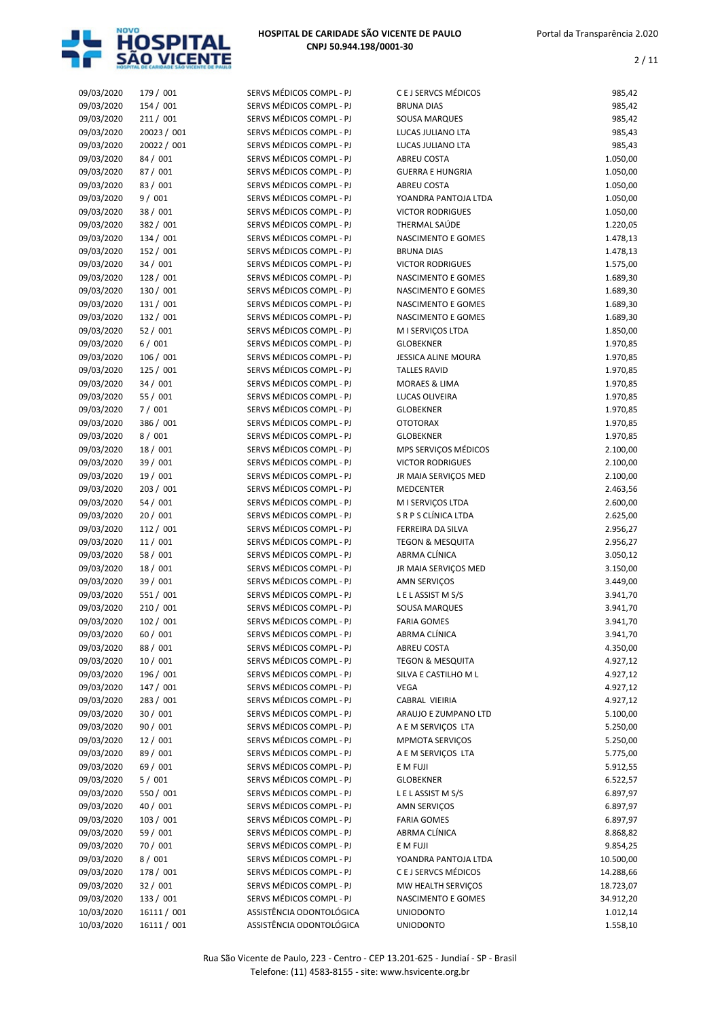

| 09/03/2020 | 179 / 001   | SERVS MÉDICOS COMPL - PJ | C E J SERVCS MÉDICOS        | 985,42    |
|------------|-------------|--------------------------|-----------------------------|-----------|
| 09/03/2020 | 154 / 001   | SERVS MÉDICOS COMPL - PJ | <b>BRUNA DIAS</b>           | 985,42    |
|            |             |                          |                             |           |
| 09/03/2020 | 211 / 001   | SERVS MÉDICOS COMPL - PJ | SOUSA MARQUES               | 985,42    |
| 09/03/2020 | 20023 / 001 | SERVS MÉDICOS COMPL - PJ | LUCAS JULIANO LTA           | 985,43    |
| 09/03/2020 | 20022 / 001 | SERVS MÉDICOS COMPL - PJ | LUCAS JULIANO LTA           | 985,43    |
| 09/03/2020 | 84 / 001    | SERVS MÉDICOS COMPL - PJ | ABREU COSTA                 | 1.050,00  |
| 09/03/2020 | 87 / 001    | SERVS MÉDICOS COMPL - PJ | <b>GUERRA E HUNGRIA</b>     | 1.050,00  |
| 09/03/2020 | 83 / 001    | SERVS MÉDICOS COMPL - PJ | ABREU COSTA                 | 1.050,00  |
| 09/03/2020 | 9/001       | SERVS MÉDICOS COMPL - PJ | YOANDRA PANTOJA LTDA        | 1.050,00  |
| 09/03/2020 | 38 / 001    | SERVS MÉDICOS COMPL - PJ | <b>VICTOR RODRIGUES</b>     | 1.050,00  |
| 09/03/2020 | 382 / 001   | SERVS MÉDICOS COMPL - PJ | THERMAL SAÚDE               | 1.220,05  |
| 09/03/2020 | 134 / 001   | SERVS MÉDICOS COMPL - PJ | NASCIMENTO E GOMES          | 1.478,13  |
| 09/03/2020 | 152 / 001   | SERVS MÉDICOS COMPL - PJ | <b>BRUNA DIAS</b>           | 1.478,13  |
| 09/03/2020 | 34 / 001    | SERVS MÉDICOS COMPL - PJ | <b>VICTOR RODRIGUES</b>     | 1.575,00  |
| 09/03/2020 | 128 / 001   | SERVS MÉDICOS COMPL - PJ | NASCIMENTO E GOMES          | 1.689,30  |
| 09/03/2020 | 130 / 001   | SERVS MÉDICOS COMPL - PJ | NASCIMENTO E GOMES          | 1.689,30  |
| 09/03/2020 | 131 / 001   | SERVS MÉDICOS COMPL - PJ | NASCIMENTO E GOMES          | 1.689,30  |
| 09/03/2020 | 132 / 001   | SERVS MÉDICOS COMPL - PJ | NASCIMENTO E GOMES          | 1.689,30  |
| 09/03/2020 | 52/001      | SERVS MÉDICOS COMPL - PJ | M I SERVIÇOS LTDA           | 1.850,00  |
| 09/03/2020 | 6/001       | SERVS MÉDICOS COMPL - PJ |                             | 1.970,85  |
|            |             |                          | <b>GLOBEKNER</b>            |           |
| 09/03/2020 | 106 / 001   | SERVS MÉDICOS COMPL - PJ | JESSICA ALINE MOURA         | 1.970,85  |
| 09/03/2020 | 125 / 001   | SERVS MÉDICOS COMPL - PJ | <b>TALLES RAVID</b>         | 1.970,85  |
| 09/03/2020 | 34 / 001    | SERVS MÉDICOS COMPL - PJ | <b>MORAES &amp; LIMA</b>    | 1.970,85  |
| 09/03/2020 | 55 / 001    | SERVS MÉDICOS COMPL - PJ | LUCAS OLIVEIRA              | 1.970,85  |
| 09/03/2020 | 7/001       | SERVS MÉDICOS COMPL - PJ | <b>GLOBEKNER</b>            | 1.970,85  |
| 09/03/2020 | 386 / 001   | SERVS MÉDICOS COMPL - PJ | <b>OTOTORAX</b>             | 1.970,85  |
| 09/03/2020 | 8/001       | SERVS MÉDICOS COMPL - PJ | <b>GLOBEKNER</b>            | 1.970,85  |
| 09/03/2020 | 18 / 001    | SERVS MÉDICOS COMPL - PJ | MPS SERVIÇOS MÉDICOS        | 2.100,00  |
| 09/03/2020 | 39 / 001    | SERVS MÉDICOS COMPL - PJ | <b>VICTOR RODRIGUES</b>     | 2.100,00  |
| 09/03/2020 | 19 / 001    | SERVS MÉDICOS COMPL - PJ | JR MAIA SERVIÇOS MED        | 2.100,00  |
| 09/03/2020 | 203 / 001   | SERVS MÉDICOS COMPL - PJ | <b>MEDCENTER</b>            | 2.463,56  |
| 09/03/2020 | 54 / 001    | SERVS MÉDICOS COMPL - PJ | M I SERVIÇOS LTDA           | 2.600,00  |
| 09/03/2020 | 20 / 001    | SERVS MÉDICOS COMPL - PJ | S R P S CLÍNICA LTDA        | 2.625,00  |
| 09/03/2020 | 112 / 001   | SERVS MÉDICOS COMPL - PJ | FERREIRA DA SILVA           | 2.956,27  |
| 09/03/2020 | 11/001      | SERVS MÉDICOS COMPL - PJ | <b>TEGON &amp; MESQUITA</b> | 2.956,27  |
| 09/03/2020 | 58 / 001    | SERVS MÉDICOS COMPL - PJ | ABRMA CLÍNICA               | 3.050,12  |
| 09/03/2020 | 18 / 001    | SERVS MÉDICOS COMPL - PJ |                             |           |
|            |             | SERVS MÉDICOS COMPL - PJ | JR MAIA SERVIÇOS MED        | 3.150,00  |
| 09/03/2020 | 39 / 001    |                          | AMN SERVIÇOS                | 3.449,00  |
| 09/03/2020 | 551 / 001   | SERVS MÉDICOS COMPL - PJ | LELASSIST MS/S              | 3.941,70  |
| 09/03/2020 | 210 / 001   | SERVS MÉDICOS COMPL - PJ | SOUSA MARQUES               | 3.941,70  |
| 09/03/2020 | 102 / 001   | SERVS MÉDICOS COMPL - PJ | <b>FARIA GOMES</b>          | 3.941,70  |
| 09/03/2020 | 60 / 001    | SERVS MÉDICOS COMPL - PJ | ABRMA CLÍNICA               | 3.941,70  |
| 09/03/2020 | 88 / 001    | SERVS MÉDICOS COMPL - PJ | ABREU COSTA                 | 4.350,00  |
| 09/03/2020 | 10/001      | SERVS MÉDICOS COMPL - PJ | <b>TEGON &amp; MESQUITA</b> | 4.927,12  |
| 09/03/2020 | 196 / 001   | SERVS MÉDICOS COMPL - PJ | SILVA E CASTILHO M L        | 4.927,12  |
| 09/03/2020 | 147 / 001   | SERVS MÉDICOS COMPL - PJ | VEGA                        | 4.927,12  |
| 09/03/2020 | 283 / 001   | SERVS MÉDICOS COMPL - PJ | CABRAL VIEIRIA              | 4.927,12  |
| 09/03/2020 | 30 / 001    | SERVS MÉDICOS COMPL - PJ | ARAUJO E ZUMPANO LTD        | 5.100,00  |
| 09/03/2020 | 90 / 001    | SERVS MÉDICOS COMPL - PJ | A E M SERVIÇOS LTA          | 5.250,00  |
| 09/03/2020 | 12/001      | SERVS MÉDICOS COMPL - PJ | <b>MPMOTA SERVICOS</b>      | 5.250,00  |
| 09/03/2020 | 89 / 001    | SERVS MÉDICOS COMPL - PJ | A E M SERVIÇOS LTA          | 5.775,00  |
| 09/03/2020 | 69 / 001    | SERVS MÉDICOS COMPL - PJ | E M FUJI                    | 5.912,55  |
| 09/03/2020 | 5/001       | SERVS MÉDICOS COMPL - PJ | GLOBEKNER                   | 6.522,57  |
| 09/03/2020 | 550 / 001   | SERVS MÉDICOS COMPL - PJ |                             |           |
|            |             |                          | LELASSIST MS/S              | 6.897,97  |
| 09/03/2020 | 40 / 001    | SERVS MÉDICOS COMPL - PJ | AMN SERVIÇOS                | 6.897,97  |
| 09/03/2020 | 103 / 001   | SERVS MÉDICOS COMPL - PJ | <b>FARIA GOMES</b>          | 6.897,97  |
| 09/03/2020 | 59 / 001    | SERVS MÉDICOS COMPL - PJ | ABRMA CLÍNICA               | 8.868,82  |
| 09/03/2020 | 70 / 001    | SERVS MÉDICOS COMPL - PJ | E M FUJI                    | 9.854,25  |
| 09/03/2020 | 8/001       | SERVS MÉDICOS COMPL - PJ | YOANDRA PANTOJA LTDA        | 10.500,00 |
| 09/03/2020 | 178 / 001   | SERVS MÉDICOS COMPL - PJ | C E J SERVCS MÉDICOS        | 14.288,66 |
| 09/03/2020 | 32 / 001    | SERVS MÉDICOS COMPL - PJ | MW HEALTH SERVIÇOS          | 18.723,07 |
| 09/03/2020 | 133 / 001   | SERVS MÉDICOS COMPL - PJ | NASCIMENTO E GOMES          | 34.912,20 |
| 10/03/2020 | 16111 / 001 | ASSISTÊNCIA ODONTOLÓGICA | <b>UNIODONTO</b>            | 1.012,14  |
| 10/03/2020 | 16111 / 001 | ASSISTÊNCIA ODONTOLÓGICA | <b>UNIODONTO</b>            | 1.558,10  |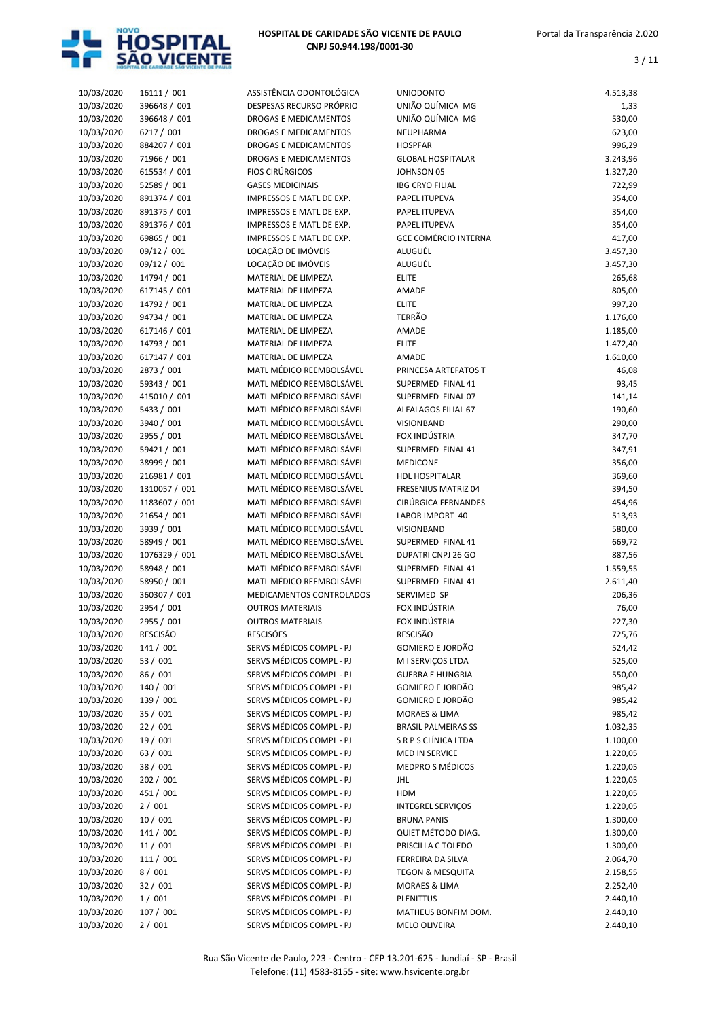

| 10/03/2020 | 16111 / 001     | ASSISTÊNCIA ODONTOLÓGICA     | <b>UNIODONTO</b>            | 4.513,38 |
|------------|-----------------|------------------------------|-----------------------------|----------|
| 10/03/2020 | 396648 / 001    | DESPESAS RECURSO PRÓPRIO     | UNIÃO QUÍMICA MG            | 1,33     |
| 10/03/2020 | 396648 / 001    | <b>DROGAS E MEDICAMENTOS</b> | UNIÃO QUÍMICA MG            | 530,00   |
| 10/03/2020 | 6217 / 001      | DROGAS E MEDICAMENTOS        | NEUPHARMA                   | 623,00   |
| 10/03/2020 | 884207 / 001    | DROGAS E MEDICAMENTOS        | <b>HOSPFAR</b>              | 996,29   |
| 10/03/2020 | 71966 / 001     | DROGAS E MEDICAMENTOS        | <b>GLOBAL HOSPITALAR</b>    | 3.243,96 |
| 10/03/2020 | 615534 / 001    | <b>FIOS CIRÚRGICOS</b>       | JOHNSON 05                  | 1.327,20 |
| 10/03/2020 | 52589 / 001     | <b>GASES MEDICINAIS</b>      | <b>IBG CRYO FILIAL</b>      | 722,99   |
| 10/03/2020 | 891374 / 001    | IMPRESSOS E MATL DE EXP.     | PAPEL ITUPEVA               | 354,00   |
| 10/03/2020 | 891375 / 001    | IMPRESSOS E MATL DE EXP.     | PAPEL ITUPEVA               | 354,00   |
|            |                 |                              |                             |          |
| 10/03/2020 | 891376 / 001    | IMPRESSOS E MATL DE EXP.     | PAPEL ITUPEVA               | 354,00   |
| 10/03/2020 | 69865 / 001     | IMPRESSOS E MATL DE EXP.     | <b>GCE COMÉRCIO INTERNA</b> | 417,00   |
| 10/03/2020 | 09/12 / 001     | LOCAÇÃO DE IMÓVEIS           | ALUGUÉL                     | 3.457,30 |
| 10/03/2020 | 09/12 / 001     | LOCAÇÃO DE IMÓVEIS           | ALUGUÉL                     | 3.457,30 |
| 10/03/2020 | 14794 / 001     | MATERIAL DE LIMPEZA          | <b>ELITE</b>                | 265,68   |
| 10/03/2020 | 617145 / 001    | MATERIAL DE LIMPEZA          | AMADE                       | 805,00   |
| 10/03/2020 | 14792 / 001     | MATERIAL DE LIMPEZA          | <b>ELITE</b>                | 997,20   |
| 10/03/2020 | 94734 / 001     | MATERIAL DE LIMPEZA          | <b>TERRÃO</b>               | 1.176,00 |
| 10/03/2020 | 617146 / 001    | MATERIAL DE LIMPEZA          | AMADE                       | 1.185,00 |
| 10/03/2020 | 14793 / 001     | MATERIAL DE LIMPEZA          | <b>ELITE</b>                | 1.472,40 |
| 10/03/2020 | 617147 / 001    | MATERIAL DE LIMPEZA          | AMADE                       | 1.610,00 |
| 10/03/2020 | 2873 / 001      | MATL MÉDICO REEMBOLSÁVEL     | PRINCESA ARTEFATOS T        | 46,08    |
| 10/03/2020 | 59343 / 001     | MATL MÉDICO REEMBOLSÁVEL     | SUPERMED FINAL 41           | 93,45    |
| 10/03/2020 | 415010 / 001    | MATL MÉDICO REEMBOLSÁVEL     | SUPERMED FINAL 07           | 141,14   |
| 10/03/2020 | 5433 / 001      | MATL MÉDICO REEMBOLSÁVEL     | ALFALAGOS FILIAL 67         | 190,60   |
| 10/03/2020 | 3940 / 001      | MATL MÉDICO REEMBOLSÁVEL     | VISIONBAND                  | 290,00   |
| 10/03/2020 | 2955 / 001      | MATL MÉDICO REEMBOLSÁVEL     | FOX INDÚSTRIA               | 347,70   |
| 10/03/2020 | 59421 / 001     | MATL MÉDICO REEMBOLSÁVEL     | SUPERMED FINAL 41           | 347,91   |
| 10/03/2020 | 38999 / 001     | MATL MÉDICO REEMBOLSÁVEL     | <b>MEDICONE</b>             | 356,00   |
| 10/03/2020 | 216981 / 001    | MATL MÉDICO REEMBOLSÁVEL     | <b>HDL HOSPITALAR</b>       | 369,60   |
| 10/03/2020 | 1310057 / 001   | MATL MÉDICO REEMBOLSÁVEL     | <b>FRESENIUS MATRIZ 04</b>  | 394,50   |
| 10/03/2020 | 1183607 / 001   | MATL MÉDICO REEMBOLSÁVEL     | CIRÚRGICA FERNANDES         | 454,96   |
| 10/03/2020 | 21654 / 001     | MATL MÉDICO REEMBOLSÁVEL     | LABOR IMPORT 40             | 513,93   |
| 10/03/2020 | 3939 / 001      | MATL MÉDICO REEMBOLSÁVEL     | VISIONBAND                  | 580,00   |
| 10/03/2020 | 58949 / 001     | MATL MÉDICO REEMBOLSÁVEL     | SUPERMED FINAL 41           |          |
| 10/03/2020 |                 | MATL MÉDICO REEMBOLSÁVEL     | <b>DUPATRI CNPJ 26 GO</b>   | 669,72   |
|            | 1076329 / 001   |                              | SUPERMED FINAL 41           | 887,56   |
| 10/03/2020 | 58948 / 001     | MATL MÉDICO REEMBOLSÁVEL     |                             | 1.559,55 |
| 10/03/2020 | 58950 / 001     | MATL MÉDICO REEMBOLSÁVEL     | SUPERMED FINAL 41           | 2.611,40 |
| 10/03/2020 | 360307 / 001    | MEDICAMENTOS CONTROLADOS     | SERVIMED SP                 | 206,36   |
| 10/03/2020 | 2954 / 001      | <b>OUTROS MATERIAIS</b>      | FOX INDÚSTRIA               | 76,00    |
| 10/03/2020 | 2955 / 001      | <b>OUTROS MATERIAIS</b>      | FOX INDÚSTRIA               | 227,30   |
| 10/03/2020 | <b>RESCISÃO</b> | <b>RESCISÕES</b>             | <b>RESCISÃO</b>             | 725,76   |
| 10/03/2020 | 141 / 001       | SERVS MÉDICOS COMPL - PJ     | GOMIERO E JORDÃO            | 524,42   |
| 10/03/2020 | 53 / 001        | SERVS MÉDICOS COMPL - PJ     | M I SERVICOS LTDA           | 525,00   |
| 10/03/2020 | 86 / 001        | SERVS MÉDICOS COMPL - PJ     | <b>GUERRA E HUNGRIA</b>     | 550,00   |
| 10/03/2020 | 140 / 001       | SERVS MÉDICOS COMPL - PJ     | GOMIERO E JORDÃO            | 985,42   |
| 10/03/2020 | 139 / 001       | SERVS MÉDICOS COMPL - PJ     | GOMIERO E JORDÃO            | 985,42   |
| 10/03/2020 | 35 / 001        | SERVS MÉDICOS COMPL - PJ     | <b>MORAES &amp; LIMA</b>    | 985,42   |
| 10/03/2020 | 22/001          | SERVS MÉDICOS COMPL - PJ     | <b>BRASIL PALMEIRAS SS</b>  | 1.032,35 |
| 10/03/2020 | 19 / 001        | SERVS MÉDICOS COMPL - PJ     | S R P S CLÍNICA LTDA        | 1.100,00 |
| 10/03/2020 | 63 / 001        | SERVS MÉDICOS COMPL - PJ     | MED IN SERVICE              | 1.220,05 |
| 10/03/2020 | 38 / 001        | SERVS MÉDICOS COMPL - PJ     | MEDPRO S MÉDICOS            | 1.220,05 |
| 10/03/2020 | 202 / 001       | SERVS MÉDICOS COMPL - PJ     | JHL                         | 1.220,05 |
| 10/03/2020 | 451 / 001       | SERVS MÉDICOS COMPL - PJ     | HDM                         | 1.220,05 |
| 10/03/2020 | 2/001           | SERVS MÉDICOS COMPL - PJ     | <b>INTEGREL SERVIÇOS</b>    | 1.220,05 |
| 10/03/2020 | 10/001          | SERVS MÉDICOS COMPL - PJ     | <b>BRUNA PANIS</b>          | 1.300,00 |
| 10/03/2020 | 141 / 001       | SERVS MÉDICOS COMPL - PJ     | QUIET MÉTODO DIAG.          | 1.300,00 |
| 10/03/2020 | 11/001          | SERVS MÉDICOS COMPL - PJ     | PRISCILLA C TOLEDO          | 1.300,00 |
| 10/03/2020 | 111 / 001       | SERVS MÉDICOS COMPL - PJ     | FERREIRA DA SILVA           | 2.064,70 |
| 10/03/2020 | 8/001           | SERVS MÉDICOS COMPL - PJ     | <b>TEGON &amp; MESQUITA</b> | 2.158,55 |
| 10/03/2020 | 32 / 001        | SERVS MÉDICOS COMPL - PJ     | MORAES & LIMA               | 2.252,40 |
| 10/03/2020 | 1/001           | SERVS MÉDICOS COMPL - PJ     | <b>PLENITTUS</b>            | 2.440,10 |
| 10/03/2020 | 107 / 001       | SERVS MÉDICOS COMPL - PJ     | MATHEUS BONFIM DOM.         | 2.440,10 |
|            |                 | SERVS MÉDICOS COMPL - PJ     |                             | 2.440,10 |
| 10/03/2020 | 2/001           |                              | MELO OLIVEIRA               |          |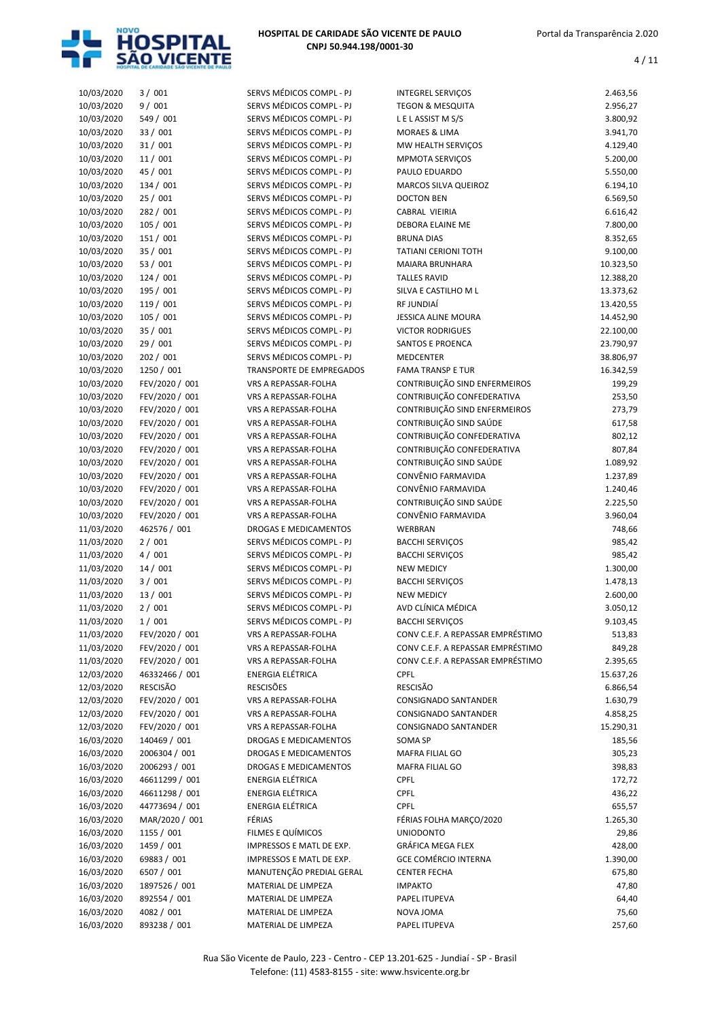

| 10/03/2020 | 3/001           | SERVS MÉDICOS COMPL - PJ        | <b>INTEGREL SERVIÇOS</b>          | 2.463,56  |
|------------|-----------------|---------------------------------|-----------------------------------|-----------|
| 10/03/2020 | 9/001           | SERVS MÉDICOS COMPL - PJ        | <b>TEGON &amp; MESQUITA</b>       | 2.956,27  |
| 10/03/2020 | 549 / 001       | SERVS MÉDICOS COMPL - PJ        | LELASSIST MS/S                    | 3.800,92  |
| 10/03/2020 | 33 / 001        | SERVS MÉDICOS COMPL - PJ        | MORAES & LIMA                     | 3.941,70  |
| 10/03/2020 | 31/001          | SERVS MÉDICOS COMPL - PJ        | MW HEALTH SERVIÇOS                | 4.129,40  |
| 10/03/2020 | 11/001          | SERVS MÉDICOS COMPL - PJ        | <b>MPMOTA SERVIÇOS</b>            | 5.200,00  |
| 10/03/2020 | 45 / 001        | SERVS MÉDICOS COMPL - PJ        | PAULO EDUARDO                     | 5.550,00  |
| 10/03/2020 | 134 / 001       | SERVS MÉDICOS COMPL - PJ        | MARCOS SILVA QUEIROZ              | 6.194,10  |
| 10/03/2020 | 25 / 001        | SERVS MÉDICOS COMPL - PJ        | <b>DOCTON BEN</b>                 | 6.569,50  |
| 10/03/2020 | 282 / 001       | SERVS MÉDICOS COMPL - PJ        | CABRAL VIEIRIA                    | 6.616,42  |
| 10/03/2020 | 105 / 001       | SERVS MÉDICOS COMPL - PJ        | DEBORA ELAINE ME                  | 7.800,00  |
| 10/03/2020 | 151 / 001       | SERVS MÉDICOS COMPL - PJ        | <b>BRUNA DIAS</b>                 | 8.352,65  |
| 10/03/2020 | 35 / 001        | SERVS MÉDICOS COMPL - PJ        | <b>TATIANI CERIONI TOTH</b>       | 9.100,00  |
| 10/03/2020 | 53 / 001        | SERVS MÉDICOS COMPL - PJ        | MAIARA BRUNHARA                   | 10.323,50 |
| 10/03/2020 | 124/001         | SERVS MÉDICOS COMPL - PJ        | <b>TALLES RAVID</b>               | 12.388,20 |
| 10/03/2020 | 195 / 001       | SERVS MÉDICOS COMPL - PJ        | SILVA E CASTILHO M L              | 13.373,62 |
| 10/03/2020 | 119 / 001       | SERVS MÉDICOS COMPL - PJ        | RF JUNDIAÍ                        | 13.420,55 |
| 10/03/2020 | 105 / 001       | SERVS MÉDICOS COMPL - PJ        | <b>JESSICA ALINE MOURA</b>        | 14.452,90 |
|            | 35 / 001        | SERVS MÉDICOS COMPL - PJ        |                                   |           |
| 10/03/2020 |                 |                                 | <b>VICTOR RODRIGUES</b>           | 22.100,00 |
| 10/03/2020 | 29 / 001        | SERVS MÉDICOS COMPL - PJ        | <b>SANTOS E PROENCA</b>           | 23.790,97 |
| 10/03/2020 | 202 / 001       | SERVS MÉDICOS COMPL - PJ        | <b>MEDCENTER</b>                  | 38.806,97 |
| 10/03/2020 | 1250 / 001      | <b>TRANSPORTE DE EMPREGADOS</b> | <b>FAMA TRANSP E TUR</b>          | 16.342,59 |
| 10/03/2020 | FEV/2020 / 001  | VRS A REPASSAR-FOLHA            | CONTRIBUIÇÃO SIND ENFERMEIROS     | 199,29    |
| 10/03/2020 | FEV/2020 / 001  | VRS A REPASSAR-FOLHA            | CONTRIBUIÇÃO CONFEDERATIVA        | 253,50    |
| 10/03/2020 | FEV/2020 / 001  | <b>VRS A REPASSAR-FOLHA</b>     | CONTRIBUIÇÃO SIND ENFERMEIROS     | 273,79    |
| 10/03/2020 | FEV/2020 / 001  | VRS A REPASSAR-FOLHA            | CONTRIBUIÇÃO SIND SAÚDE           | 617,58    |
| 10/03/2020 | FEV/2020 / 001  | VRS A REPASSAR-FOLHA            | CONTRIBUIÇÃO CONFEDERATIVA        | 802,12    |
| 10/03/2020 | FEV/2020 / 001  | VRS A REPASSAR-FOLHA            | CONTRIBUIÇÃO CONFEDERATIVA        | 807,84    |
| 10/03/2020 | FEV/2020 / 001  | VRS A REPASSAR-FOLHA            | CONTRIBUIÇÃO SIND SAÚDE           | 1.089,92  |
| 10/03/2020 | FEV/2020 / 001  | VRS A REPASSAR-FOLHA            | CONVÊNIO FARMAVIDA                | 1.237,89  |
| 10/03/2020 | FEV/2020 / 001  | VRS A REPASSAR-FOLHA            | CONVÊNIO FARMAVIDA                | 1.240,46  |
| 10/03/2020 | FEV/2020 / 001  | VRS A REPASSAR-FOLHA            | CONTRIBUIÇÃO SIND SAÚDE           | 2.225,50  |
| 10/03/2020 | FEV/2020 / 001  | VRS A REPASSAR-FOLHA            | CONVÊNIO FARMAVIDA                | 3.960,04  |
| 11/03/2020 | 462576 / 001    | DROGAS E MEDICAMENTOS           | <b>WERBRAN</b>                    | 748,66    |
| 11/03/2020 | 2/001           | SERVS MÉDICOS COMPL - PJ        | <b>BACCHI SERVIÇOS</b>            | 985,42    |
| 11/03/2020 | 4/001           | SERVS MÉDICOS COMPL - PJ        | <b>BACCHI SERVICOS</b>            | 985,42    |
| 11/03/2020 | 14/001          | SERVS MÉDICOS COMPL - PJ        | <b>NEW MEDICY</b>                 | 1.300,00  |
| 11/03/2020 | 3/001           | SERVS MÉDICOS COMPL - PJ        | <b>BACCHI SERVICOS</b>            | 1.478,13  |
| 11/03/2020 | 13 / 001        | SERVS MÉDICOS COMPL - PJ        | <b>NEW MEDICY</b>                 | 2.600,00  |
| 11/03/2020 | 2/001           | SERVS MÉDICOS COMPL - PJ        | AVD CLÍNICA MÉDICA                | 3.050,12  |
| 11/03/2020 | 1/001           | SERVS MÉDICOS COMPL - PJ        | <b>BACCHI SERVIÇOS</b>            | 9.103,45  |
| 11/03/2020 | FEV/2020 / 001  | VRS A REPASSAR-FOLHA            | CONV C.E.F. A REPASSAR EMPRÉSTIMO | 513,83    |
| 11/03/2020 | FEV/2020 / 001  | VRS A REPASSAR-FOLHA            | CONV C.E.F. A REPASSAR EMPRÉSTIMO | 849,28    |
| 11/03/2020 | FEV/2020 / 001  | VRS A REPASSAR-FOLHA            | CONV C.E.F. A REPASSAR EMPRÉSTIMO | 2.395,65  |
| 12/03/2020 | 46332466 / 001  | ENERGIA ELÉTRICA                | <b>CPFL</b>                       | 15.637,26 |
| 12/03/2020 | <b>RESCISÃO</b> | <b>RESCISÕES</b>                | <b>RESCISÃO</b>                   | 6.866,54  |
| 12/03/2020 | FEV/2020 / 001  | VRS A REPASSAR-FOLHA            | CONSIGNADO SANTANDER              | 1.630,79  |
|            | FEV/2020 / 001  |                                 |                                   |           |
| 12/03/2020 |                 | VRS A REPASSAR-FOLHA            | CONSIGNADO SANTANDER              | 4.858,25  |
| 12/03/2020 | FEV/2020 / 001  | VRS A REPASSAR-FOLHA            | <b>CONSIGNADO SANTANDER</b>       | 15.290,31 |
| 16/03/2020 | 140469 / 001    | <b>DROGAS E MEDICAMENTOS</b>    | SOMA SP                           | 185,56    |
| 16/03/2020 | 2006304 / 001   | DROGAS E MEDICAMENTOS           | MAFRA FILIAL GO                   | 305,23    |
| 16/03/2020 | 2006293 / 001   | <b>DROGAS E MEDICAMENTOS</b>    | MAFRA FILIAL GO                   | 398,83    |
| 16/03/2020 | 46611299 / 001  | ENERGIA ELÉTRICA                | <b>CPFL</b>                       | 172,72    |
| 16/03/2020 | 46611298 / 001  | ENERGIA ELÉTRICA                | <b>CPFL</b>                       | 436,22    |
| 16/03/2020 | 44773694 / 001  | ENERGIA ELÉTRICA                | <b>CPFL</b>                       | 655,57    |
| 16/03/2020 | MAR/2020 / 001  | FÉRIAS                          | FÉRIAS FOLHA MARÇO/2020           | 1.265,30  |
| 16/03/2020 | 1155 / 001      | FILMES E QUÍMICOS               | <b>UNIODONTO</b>                  | 29,86     |
| 16/03/2020 | 1459 / 001      | IMPRESSOS E MATL DE EXP.        | GRÁFICA MEGA FLEX                 | 428,00    |
| 16/03/2020 | 69883 / 001     | IMPRESSOS E MATL DE EXP.        | <b>GCE COMÉRCIO INTERNA</b>       | 1.390,00  |
| 16/03/2020 | 6507 / 001      | MANUTENÇÃO PREDIAL GERAL        | <b>CENTER FECHA</b>               | 675,80    |
| 16/03/2020 | 1897526 / 001   | MATERIAL DE LIMPEZA             | <b>IMPAKTO</b>                    | 47,80     |
| 16/03/2020 | 892554 / 001    | MATERIAL DE LIMPEZA             | PAPEL ITUPEVA                     | 64,40     |
| 16/03/2020 | 4082 / 001      | MATERIAL DE LIMPEZA             | NOVA JOMA                         | 75,60     |
| 16/03/2020 | 893238 / 001    | MATERIAL DE LIMPEZA             | PAPEL ITUPEVA                     | 257,60    |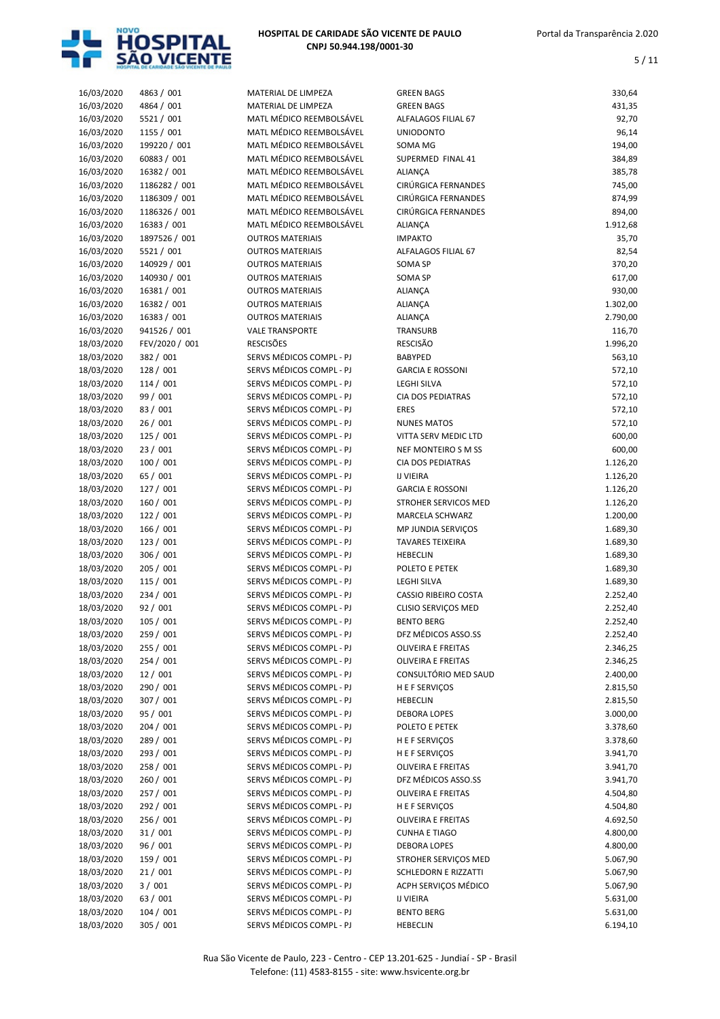

| 16/03/2020 | 4863 / 001     | MATERIAL DE LIMPEZA      | <b>GREEN BAGS</b>           | 330,64   |
|------------|----------------|--------------------------|-----------------------------|----------|
| 16/03/2020 | 4864 / 001     | MATERIAL DE LIMPEZA      | <b>GREEN BAGS</b>           | 431,35   |
| 16/03/2020 | 5521 / 001     | MATL MÉDICO REEMBOLSÁVEL | ALFALAGOS FILIAL 67         | 92,70    |
| 16/03/2020 | 1155 / 001     | MATL MÉDICO REEMBOLSÁVEL | <b>UNIODONTO</b>            | 96,14    |
| 16/03/2020 | 199220 / 001   | MATL MÉDICO REEMBOLSÁVEL | SOMA MG                     | 194,00   |
| 16/03/2020 | 60883 / 001    | MATL MÉDICO REEMBOLSÁVEL | SUPERMED FINAL 41           | 384,89   |
| 16/03/2020 | 16382 / 001    | MATL MÉDICO REEMBOLSÁVEL | <b>ALIANÇA</b>              | 385,78   |
| 16/03/2020 | 1186282 / 001  | MATL MÉDICO REEMBOLSÁVEL | CIRÚRGICA FERNANDES         | 745,00   |
| 16/03/2020 | 1186309 / 001  | MATL MÉDICO REEMBOLSÁVEL | CIRÚRGICA FERNANDES         | 874,99   |
| 16/03/2020 | 1186326 / 001  | MATL MÉDICO REEMBOLSÁVEL | CIRÚRGICA FERNANDES         | 894,00   |
| 16/03/2020 | 16383 / 001    | MATL MÉDICO REEMBOLSÁVEL | ALIANÇA                     | 1.912,68 |
| 16/03/2020 | 1897526 / 001  | <b>OUTROS MATERIAIS</b>  | <b>IMPAKTO</b>              | 35,70    |
| 16/03/2020 | 5521 / 001     | <b>OUTROS MATERIAIS</b>  | ALFALAGOS FILIAL 67         | 82,54    |
| 16/03/2020 | 140929 / 001   | <b>OUTROS MATERIAIS</b>  | SOMA SP                     | 370,20   |
| 16/03/2020 | 140930 / 001   | <b>OUTROS MATERIAIS</b>  | SOMA SP                     | 617,00   |
| 16/03/2020 | 16381 / 001    | <b>OUTROS MATERIAIS</b>  | ALIANÇA                     | 930,00   |
| 16/03/2020 | 16382 / 001    | <b>OUTROS MATERIAIS</b>  | ALIANÇA                     | 1.302,00 |
| 16/03/2020 | 16383 / 001    | <b>OUTROS MATERIAIS</b>  | ALIANÇA                     | 2.790,00 |
| 16/03/2020 | 941526 / 001   | <b>VALE TRANSPORTE</b>   | TRANSURB                    | 116,70   |
| 18/03/2020 | FEV/2020 / 001 | <b>RESCISÕES</b>         | <b>RESCISÃO</b>             | 1.996,20 |
| 18/03/2020 | 382 / 001      | SERVS MÉDICOS COMPL - PJ | <b>BABYPED</b>              | 563,10   |
| 18/03/2020 | 128 / 001      | SERVS MÉDICOS COMPL - PJ | <b>GARCIA E ROSSONI</b>     | 572,10   |
| 18/03/2020 | 114 / 001      | SERVS MÉDICOS COMPL - PJ | <b>LEGHI SILVA</b>          | 572,10   |
| 18/03/2020 | 99 / 001       | SERVS MÉDICOS COMPL - PJ | <b>CIA DOS PEDIATRAS</b>    | 572,10   |
| 18/03/2020 | 83 / 001       | SERVS MÉDICOS COMPL - PJ | <b>ERES</b>                 | 572,10   |
| 18/03/2020 | 26/001         | SERVS MÉDICOS COMPL - PJ | <b>NUNES MATOS</b>          | 572,10   |
| 18/03/2020 | 125 / 001      | SERVS MÉDICOS COMPL - PJ | VITTA SERV MEDIC LTD        | 600,00   |
| 18/03/2020 | 23 / 001       | SERVS MÉDICOS COMPL - PJ | NEF MONTEIRO S M SS         | 600,00   |
| 18/03/2020 | 100/001        | SERVS MÉDICOS COMPL - PJ | <b>CIA DOS PEDIATRAS</b>    | 1.126,20 |
| 18/03/2020 | 65 / 001       | SERVS MÉDICOS COMPL - PJ | <b>IJ VIEIRA</b>            | 1.126,20 |
| 18/03/2020 | 127 / 001      | SERVS MÉDICOS COMPL - PJ | <b>GARCIA E ROSSONI</b>     | 1.126,20 |
| 18/03/2020 | 160 / 001      | SERVS MÉDICOS COMPL - PJ | STROHER SERVICOS MED        | 1.126,20 |
| 18/03/2020 | 122 / 001      | SERVS MÉDICOS COMPL - PJ | MARCELA SCHWARZ             | 1.200,00 |
| 18/03/2020 | 166 / 001      | SERVS MÉDICOS COMPL - PJ | MP JUNDIA SERVIÇOS          | 1.689,30 |
| 18/03/2020 | 123 / 001      | SERVS MÉDICOS COMPL - PJ | <b>TAVARES TEIXEIRA</b>     | 1.689,30 |
| 18/03/2020 | 306 / 001      | SERVS MÉDICOS COMPL - PJ | <b>HEBECLIN</b>             | 1.689,30 |
| 18/03/2020 | 205 / 001      | SERVS MÉDICOS COMPL - PJ | POLETO E PETEK              | 1.689,30 |
| 18/03/2020 | 115 / 001      | SERVS MÉDICOS COMPL - PJ | <b>LEGHI SILVA</b>          | 1.689,30 |
| 18/03/2020 | 234 / 001      | SERVS MÉDICOS COMPL - PJ | <b>CASSIO RIBEIRO COSTA</b> | 2.252,40 |
| 18/03/2020 | 92 / 001       | SERVS MÉDICOS COMPL - PJ | CLISIO SERVIÇOS MED         | 2.252,40 |
| 18/03/2020 | 105 / 001      | SERVS MÉDICOS COMPL - PJ | <b>BENTO BERG</b>           | 2.252,40 |
| 18/03/2020 | 259 / 001      | SERVS MÉDICOS COMPL - PJ | DFZ MÉDICOS ASSO.SS         | 2.252,40 |
| 18/03/2020 | 255 / 001      | SERVS MÉDICOS COMPL - PJ | <b>OLIVEIRA E FREITAS</b>   | 2.346,25 |
| 18/03/2020 | 254 / 001      | SERVS MÉDICOS COMPL - PJ | <b>OLIVEIRA E FREITAS</b>   | 2.346,25 |
| 18/03/2020 | 12/001         | SERVS MÉDICOS COMPL - PJ | CONSULTÓRIO MED SAUD        | 2.400,00 |
| 18/03/2020 | 290 / 001      | SERVS MÉDICOS COMPL - PJ | H E F SERVIÇOS              | 2.815,50 |
| 18/03/2020 | 307 / 001      | SERVS MÉDICOS COMPL - PJ | <b>HEBECLIN</b>             | 2.815,50 |
| 18/03/2020 | 95 / 001       | SERVS MÉDICOS COMPL - PJ | <b>DEBORA LOPES</b>         | 3.000,00 |
| 18/03/2020 | 204 / 001      | SERVS MÉDICOS COMPL - PJ | POLETO E PETEK              | 3.378,60 |
| 18/03/2020 | 289 / 001      | SERVS MÉDICOS COMPL - PJ | H E F SERVIÇOS              | 3.378,60 |
| 18/03/2020 | 293 / 001      | SERVS MÉDICOS COMPL - PJ | H E F SERVIÇOS              | 3.941,70 |
| 18/03/2020 | 258 / 001      | SERVS MÉDICOS COMPL - PJ | <b>OLIVEIRA E FREITAS</b>   | 3.941,70 |
| 18/03/2020 | 260 / 001      | SERVS MÉDICOS COMPL - PJ | DFZ MÉDICOS ASSO.SS         | 3.941,70 |
| 18/03/2020 | 257 / 001      | SERVS MÉDICOS COMPL - PJ | <b>OLIVEIRA E FREITAS</b>   | 4.504,80 |
| 18/03/2020 | 292 / 001      | SERVS MÉDICOS COMPL - PJ | H E F SERVIÇOS              | 4.504,80 |
| 18/03/2020 | 256 / 001      | SERVS MÉDICOS COMPL - PJ | <b>OLIVEIRA E FREITAS</b>   | 4.692,50 |
| 18/03/2020 | 31/001         | SERVS MÉDICOS COMPL - PJ | <b>CUNHA E TIAGO</b>        | 4.800,00 |
| 18/03/2020 | 96 / 001       | SERVS MÉDICOS COMPL - PJ | <b>DEBORA LOPES</b>         | 4.800,00 |
| 18/03/2020 | 159 / 001      | SERVS MÉDICOS COMPL - PJ | STROHER SERVIÇOS MED        | 5.067,90 |
| 18/03/2020 | 21/001         | SERVS MÉDICOS COMPL - PJ | <b>SCHLEDORN E RIZZATTI</b> | 5.067,90 |
| 18/03/2020 | 3/001          | SERVS MÉDICOS COMPL - PJ | ACPH SERVIÇOS MÉDICO        | 5.067,90 |
| 18/03/2020 | 63 / 001       | SERVS MÉDICOS COMPL - PJ | <b>IJ VIEIRA</b>            | 5.631,00 |
| 18/03/2020 | 104 / 001      | SERVS MÉDICOS COMPL - PJ | <b>BENTO BERG</b>           | 5.631,00 |
| 18/03/2020 | 305 / 001      | SERVS MÉDICOS COMPL - PJ | <b>HEBECLIN</b>             | 6.194,10 |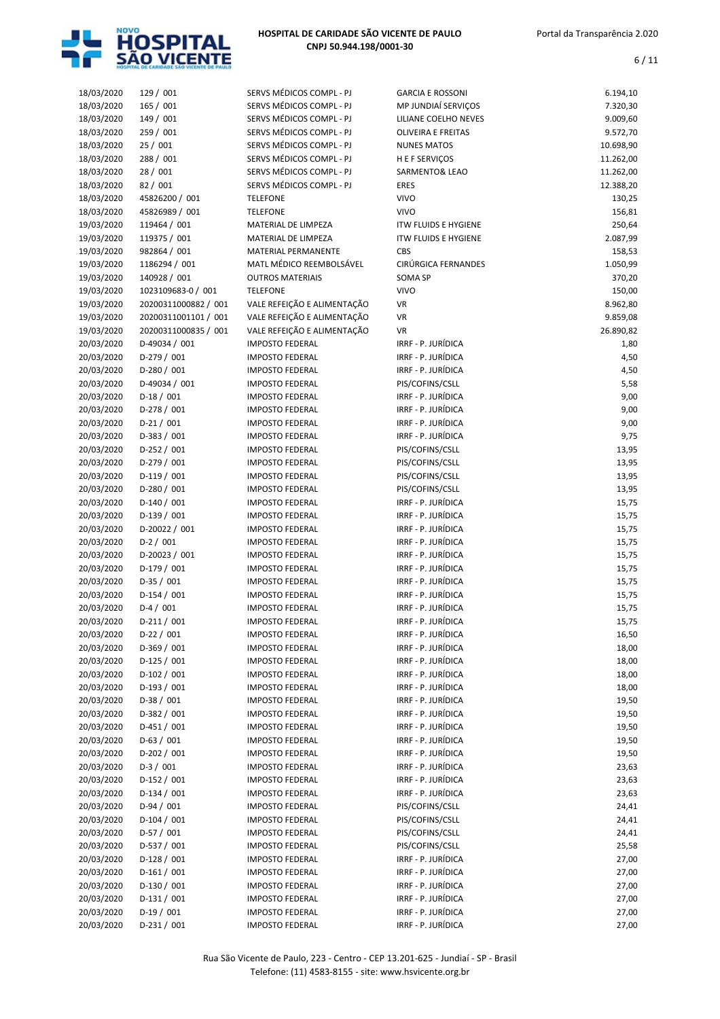

| 18/03/2020 | 129 / 001            | SERVS MÉDICOS COMPL - PJ    | <b>GARCIA E ROSSONI</b>     | 6.194,10  |
|------------|----------------------|-----------------------------|-----------------------------|-----------|
| 18/03/2020 | 165 / 001            | SERVS MÉDICOS COMPL - PJ    | MP JUNDIAÍ SERVIÇOS         | 7.320,30  |
| 18/03/2020 | 149 / 001            | SERVS MÉDICOS COMPL - PJ    | LILIANE COELHO NEVES        | 9.009,60  |
| 18/03/2020 | 259 / 001            | SERVS MÉDICOS COMPL - PJ    | <b>OLIVEIRA E FREITAS</b>   | 9.572,70  |
| 18/03/2020 | 25 / 001             | SERVS MÉDICOS COMPL - PJ    | <b>NUNES MATOS</b>          | 10.698,90 |
| 18/03/2020 | 288 / 001            | SERVS MÉDICOS COMPL - PJ    | H E F SERVIÇOS              | 11.262,00 |
| 18/03/2020 | 28 / 001             | SERVS MÉDICOS COMPL - PJ    | SARMENTO& LEAO              | 11.262,00 |
| 18/03/2020 | 82 / 001             | SERVS MÉDICOS COMPL - PJ    | <b>ERES</b>                 | 12.388,20 |
| 18/03/2020 | 45826200 / 001       | <b>TELEFONE</b>             | <b>VIVO</b>                 | 130,25    |
| 18/03/2020 | 45826989 / 001       | <b>TELEFONE</b>             | <b>VIVO</b>                 | 156,81    |
| 19/03/2020 | 119464 / 001         | MATERIAL DE LIMPEZA         | <b>ITW FLUIDS E HYGIENE</b> | 250,64    |
| 19/03/2020 | 119375 / 001         | MATERIAL DE LIMPEZA         | <b>ITW FLUIDS E HYGIENE</b> | 2.087,99  |
| 19/03/2020 | 982864 / 001         | MATERIAL PERMANENTE         | CBS                         | 158,53    |
| 19/03/2020 | 1186294 / 001        | MATL MÉDICO REEMBOLSÁVEL    | CIRÚRGICA FERNANDES         | 1.050,99  |
| 19/03/2020 | 140928 / 001         | <b>OUTROS MATERIAIS</b>     | <b>SOMA SP</b>              | 370,20    |
| 19/03/2020 | 1023109683-0 / 001   | <b>TELEFONE</b>             | <b>VIVO</b>                 | 150,00    |
| 19/03/2020 | 20200311000882 / 001 | VALE REFEIÇÃO E ALIMENTAÇÃO | VR                          | 8.962,80  |
| 19/03/2020 | 20200311001101 / 001 | VALE REFEIÇÃO E ALIMENTAÇÃO | VR                          | 9.859,08  |
| 19/03/2020 | 20200311000835 / 001 | VALE REFEIÇÃO E ALIMENTAÇÃO | <b>VR</b>                   | 26.890,82 |
| 20/03/2020 | D-49034 / 001        | <b>IMPOSTO FEDERAL</b>      | IRRF - P. JURÍDICA          | 1,80      |
| 20/03/2020 | $D-279/001$          | <b>IMPOSTO FEDERAL</b>      | IRRF - P. JURÍDICA          | 4,50      |
| 20/03/2020 | $D-280 / 001$        | <b>IMPOSTO FEDERAL</b>      | IRRF - P. JURÍDICA          | 4,50      |
| 20/03/2020 | D-49034 / 001        | <b>IMPOSTO FEDERAL</b>      | PIS/COFINS/CSLL             | 5,58      |
| 20/03/2020 | $D-18/001$           | <b>IMPOSTO FEDERAL</b>      | IRRF - P. JURÍDICA          | 9,00      |
| 20/03/2020 | $D-278/001$          | <b>IMPOSTO FEDERAL</b>      | IRRF - P. JURÍDICA          | 9,00      |
| 20/03/2020 | $D-21/001$           | <b>IMPOSTO FEDERAL</b>      | IRRF - P. JURÍDICA          | 9,00      |
| 20/03/2020 | $D-383 / 001$        | <b>IMPOSTO FEDERAL</b>      | IRRF - P. JURÍDICA          | 9,75      |
| 20/03/2020 | $D-252 / 001$        | <b>IMPOSTO FEDERAL</b>      | PIS/COFINS/CSLL             | 13,95     |
| 20/03/2020 | $D-279/001$          | <b>IMPOSTO FEDERAL</b>      | PIS/COFINS/CSLL             | 13,95     |
| 20/03/2020 | $D-119/001$          | <b>IMPOSTO FEDERAL</b>      | PIS/COFINS/CSLL             | 13,95     |
| 20/03/2020 | $D-280 / 001$        | <b>IMPOSTO FEDERAL</b>      | PIS/COFINS/CSLL             | 13,95     |
| 20/03/2020 | $D-140/001$          | <b>IMPOSTO FEDERAL</b>      | IRRF - P. JURÍDICA          | 15,75     |
| 20/03/2020 | D-139 / 001          | <b>IMPOSTO FEDERAL</b>      | IRRF - P. JURÍDICA          | 15,75     |
| 20/03/2020 | D-20022 / 001        | <b>IMPOSTO FEDERAL</b>      | IRRF - P. JURÍDICA          | 15,75     |
| 20/03/2020 | $D-2/001$            | <b>IMPOSTO FEDERAL</b>      | IRRF - P. JURÍDICA          | 15,75     |
| 20/03/2020 | D-20023 / 001        | <b>IMPOSTO FEDERAL</b>      | IRRF - P. JURÍDICA          | 15,75     |
| 20/03/2020 | $D-179/001$          | <b>IMPOSTO FEDERAL</b>      | IRRF - P. JURÍDICA          | 15,75     |
| 20/03/2020 | $D-35/001$           | <b>IMPOSTO FEDERAL</b>      | IRRF - P. JURÍDICA          | 15,75     |
| 20/03/2020 | $D-154/001$          | <b>IMPOSTO FEDERAL</b>      | IRRF - P. JURÍDICA          | 15,75     |
| 20/03/2020 | $D-4/001$            | <b>IMPOSTO FEDERAL</b>      | IRRF - P. JURÍDICA          | 15,75     |
| 20/03/2020 | D-211 / 001          | <b>IMPOSTO FEDERAL</b>      | IRRF - P. JURÍDICA          | 15,75     |
| 20/03/2020 | $D-22 / 001$         | <b>IMPOSTO FEDERAL</b>      | IRRF - P. JURÍDICA          | 16,50     |
| 20/03/2020 | $D-369/001$          | <b>IMPOSTO FEDERAL</b>      | IRRF - P. JURÍDICA          | 18,00     |
| 20/03/2020 | $D-125/001$          | <b>IMPOSTO FEDERAL</b>      | IRRF - P. JURÍDICA          | 18,00     |
| 20/03/2020 | $D-102 / 001$        | <b>IMPOSTO FEDERAL</b>      | IRRF - P. JURÍDICA          | 18,00     |
| 20/03/2020 | $D-193/001$          | <b>IMPOSTO FEDERAL</b>      | IRRF - P. JURÍDICA          | 18,00     |
| 20/03/2020 | $D-38/001$           | <b>IMPOSTO FEDERAL</b>      | IRRF - P. JURÍDICA          | 19,50     |
| 20/03/2020 | $D-382 / 001$        | <b>IMPOSTO FEDERAL</b>      | IRRF - P. JURÍDICA          | 19,50     |
| 20/03/2020 | $D-451/001$          | <b>IMPOSTO FEDERAL</b>      | IRRF - P. JURÍDICA          | 19,50     |
| 20/03/2020 | $D-63/001$           | <b>IMPOSTO FEDERAL</b>      | IRRF - P. JURÍDICA          | 19,50     |
| 20/03/2020 | $D-202 / 001$        | <b>IMPOSTO FEDERAL</b>      | IRRF - P. JURÍDICA          | 19,50     |
| 20/03/2020 | $D-3/001$            | <b>IMPOSTO FEDERAL</b>      | IRRF - P. JURÍDICA          | 23,63     |
| 20/03/2020 | $D-152 / 001$        | <b>IMPOSTO FEDERAL</b>      | IRRF - P. JURÍDICA          | 23,63     |
| 20/03/2020 | $D-134 / 001$        | <b>IMPOSTO FEDERAL</b>      | IRRF - P. JURÍDICA          | 23,63     |
| 20/03/2020 | $D-94/001$           | <b>IMPOSTO FEDERAL</b>      | PIS/COFINS/CSLL             | 24,41     |
| 20/03/2020 | $D-104 / 001$        | <b>IMPOSTO FEDERAL</b>      | PIS/COFINS/CSLL             | 24,41     |
| 20/03/2020 | $D-57/001$           | <b>IMPOSTO FEDERAL</b>      | PIS/COFINS/CSLL             | 24,41     |
| 20/03/2020 | $D-537/001$          | <b>IMPOSTO FEDERAL</b>      | PIS/COFINS/CSLL             | 25,58     |
| 20/03/2020 | $D-128/001$          | <b>IMPOSTO FEDERAL</b>      | IRRF - P. JURÍDICA          | 27,00     |
| 20/03/2020 | $D-161/001$          | <b>IMPOSTO FEDERAL</b>      | IRRF - P. JURÍDICA          | 27,00     |
| 20/03/2020 | $D-130/001$          | <b>IMPOSTO FEDERAL</b>      | IRRF - P. JURÍDICA          | 27,00     |
| 20/03/2020 | $D-131/001$          | <b>IMPOSTO FEDERAL</b>      | IRRF - P. JURÍDICA          | 27,00     |
| 20/03/2020 | $D-19/001$           | <b>IMPOSTO FEDERAL</b>      | IRRF - P. JURÍDICA          | 27,00     |
| 20/03/2020 | $D-231/001$          | <b>IMPOSTO FEDERAL</b>      | IRRF - P. JURÍDICA          | 27,00     |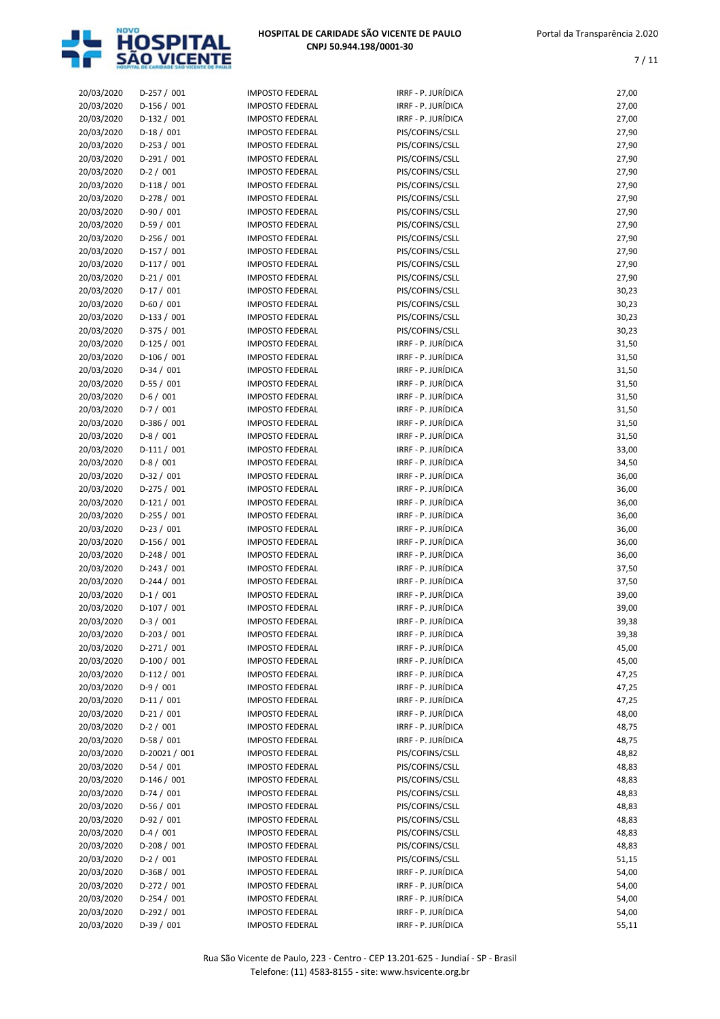

| 20/03/2020 | $D-257/001$   | <b>IMPOSTO FEDERAL</b> | IRRF - P. JURÍDICA | 27,00 |
|------------|---------------|------------------------|--------------------|-------|
| 20/03/2020 | $D-156/001$   | <b>IMPOSTO FEDERAL</b> | IRRF - P. JURÍDICA | 27,00 |
| 20/03/2020 | $D-132 / 001$ | <b>IMPOSTO FEDERAL</b> | IRRF - P. JURÍDICA | 27,00 |
| 20/03/2020 | $D-18/001$    | <b>IMPOSTO FEDERAL</b> | PIS/COFINS/CSLL    | 27,90 |
| 20/03/2020 | D-253 / 001   | <b>IMPOSTO FEDERAL</b> | PIS/COFINS/CSLL    | 27,90 |
| 20/03/2020 | $D-291/001$   | <b>IMPOSTO FEDERAL</b> | PIS/COFINS/CSLL    | 27,90 |
| 20/03/2020 | $D-2 / 001$   | <b>IMPOSTO FEDERAL</b> | PIS/COFINS/CSLL    | 27,90 |
| 20/03/2020 | $D-118/001$   | <b>IMPOSTO FEDERAL</b> | PIS/COFINS/CSLL    | 27,90 |
| 20/03/2020 | $D-278/001$   | <b>IMPOSTO FEDERAL</b> | PIS/COFINS/CSLL    | 27,90 |
| 20/03/2020 | $D-90/001$    | <b>IMPOSTO FEDERAL</b> | PIS/COFINS/CSLL    | 27,90 |
| 20/03/2020 | $D-59/001$    | <b>IMPOSTO FEDERAL</b> | PIS/COFINS/CSLL    | 27,90 |
| 20/03/2020 | D-256 / 001   | <b>IMPOSTO FEDERAL</b> | PIS/COFINS/CSLL    | 27,90 |
| 20/03/2020 | D-157 / 001   | <b>IMPOSTO FEDERAL</b> | PIS/COFINS/CSLL    | 27,90 |
|            | $D-117/001$   |                        |                    |       |
| 20/03/2020 |               | <b>IMPOSTO FEDERAL</b> | PIS/COFINS/CSLL    | 27,90 |
| 20/03/2020 | $D-21/001$    | <b>IMPOSTO FEDERAL</b> | PIS/COFINS/CSLL    | 27,90 |
| 20/03/2020 | $D-17/001$    | <b>IMPOSTO FEDERAL</b> | PIS/COFINS/CSLL    | 30,23 |
| 20/03/2020 | $D-60/001$    | <b>IMPOSTO FEDERAL</b> | PIS/COFINS/CSLL    | 30,23 |
| 20/03/2020 | $D-133 / 001$ | <b>IMPOSTO FEDERAL</b> | PIS/COFINS/CSLL    | 30,23 |
| 20/03/2020 | $D-375/001$   | <b>IMPOSTO FEDERAL</b> | PIS/COFINS/CSLL    | 30,23 |
| 20/03/2020 | $D-125/001$   | <b>IMPOSTO FEDERAL</b> | IRRF - P. JURÍDICA | 31,50 |
| 20/03/2020 | $D-106 / 001$ | <b>IMPOSTO FEDERAL</b> | IRRF - P. JURÍDICA | 31,50 |
| 20/03/2020 | $D-34/001$    | <b>IMPOSTO FEDERAL</b> | IRRF - P. JURÍDICA | 31,50 |
| 20/03/2020 | $D-55/001$    | <b>IMPOSTO FEDERAL</b> | IRRF - P. JURÍDICA | 31,50 |
| 20/03/2020 | $D-6/001$     | <b>IMPOSTO FEDERAL</b> | IRRF - P. JURÍDICA | 31,50 |
| 20/03/2020 | $D-7/001$     | <b>IMPOSTO FEDERAL</b> | IRRF - P. JURÍDICA | 31,50 |
| 20/03/2020 | $D-386 / 001$ | <b>IMPOSTO FEDERAL</b> | IRRF - P. JURÍDICA | 31,50 |
| 20/03/2020 | $D-8/001$     | <b>IMPOSTO FEDERAL</b> | IRRF - P. JURÍDICA | 31,50 |
| 20/03/2020 | $D-111/001$   | <b>IMPOSTO FEDERAL</b> | IRRF - P. JURÍDICA | 33,00 |
| 20/03/2020 | $D-8/001$     | <b>IMPOSTO FEDERAL</b> | IRRF - P. JURÍDICA | 34,50 |
| 20/03/2020 | $D-32/001$    | <b>IMPOSTO FEDERAL</b> | IRRF - P. JURÍDICA | 36,00 |
| 20/03/2020 | $D-275/001$   | <b>IMPOSTO FEDERAL</b> | IRRF - P. JURÍDICA | 36,00 |
|            |               | <b>IMPOSTO FEDERAL</b> | IRRF - P. JURÍDICA | 36,00 |
| 20/03/2020 | $D-121/001$   |                        |                    |       |
| 20/03/2020 | $D-255 / 001$ | <b>IMPOSTO FEDERAL</b> | IRRF - P. JURÍDICA | 36,00 |
| 20/03/2020 | $D-23/001$    | <b>IMPOSTO FEDERAL</b> | IRRF - P. JURÍDICA | 36,00 |
| 20/03/2020 | D-156 / 001   | <b>IMPOSTO FEDERAL</b> | IRRF - P. JURÍDICA | 36,00 |
| 20/03/2020 | D-248 / 001   | <b>IMPOSTO FEDERAL</b> | IRRF - P. JURÍDICA | 36,00 |
| 20/03/2020 | $D-243 / 001$ | <b>IMPOSTO FEDERAL</b> | IRRF - P. JURÍDICA | 37,50 |
| 20/03/2020 | $D-244 / 001$ | <b>IMPOSTO FEDERAL</b> | IRRF - P. JURÍDICA | 37,50 |
| 20/03/2020 | $D-1/001$     | <b>IMPOSTO FEDERAL</b> | IRRF - P. JURÍDICA | 39,00 |
| 20/03/2020 | $D-107/001$   | <b>IMPOSTO FEDERAL</b> | IRRF - P. JURÍDICA | 39,00 |
| 20/03/2020 | $D-3/001$     | <b>IMPOSTO FEDERAL</b> | IRRF - P. JURÍDICA | 39,38 |
| 20/03/2020 | $D-203 / 001$ | <b>IMPOSTO FEDERAL</b> | IRRF - P. JURÍDICA | 39,38 |
| 20/03/2020 | $D-271/001$   | <b>IMPOSTO FEDERAL</b> | IRRF - P. JURÍDICA | 45,00 |
| 20/03/2020 | D-100 / 001   | <b>IMPOSTO FEDERAL</b> | IRRF - P. JURÍDICA | 45,00 |
| 20/03/2020 | $D-112/001$   | <b>IMPOSTO FEDERAL</b> | IRRF - P. JURÍDICA | 47,25 |
| 20/03/2020 | $D-9/001$     | <b>IMPOSTO FEDERAL</b> | IRRF - P. JURÍDICA | 47,25 |
| 20/03/2020 | $D-11/001$    | <b>IMPOSTO FEDERAL</b> | IRRF - P. JURÍDICA | 47,25 |
| 20/03/2020 | $D-21/001$    | <b>IMPOSTO FEDERAL</b> | IRRF - P. JURÍDICA | 48,00 |
| 20/03/2020 | $D-2/001$     | <b>IMPOSTO FEDERAL</b> | IRRF - P. JURÍDICA | 48,75 |
| 20/03/2020 | $D-58/001$    | <b>IMPOSTO FEDERAL</b> | IRRF - P. JURÍDICA | 48,75 |
|            |               | <b>IMPOSTO FEDERAL</b> | PIS/COFINS/CSLL    |       |
| 20/03/2020 | D-20021 / 001 |                        |                    | 48,82 |
| 20/03/2020 | $D-54/001$    | <b>IMPOSTO FEDERAL</b> | PIS/COFINS/CSLL    | 48,83 |
| 20/03/2020 | $D-146/001$   | <b>IMPOSTO FEDERAL</b> | PIS/COFINS/CSLL    | 48,83 |
| 20/03/2020 | $D-74/001$    | <b>IMPOSTO FEDERAL</b> | PIS/COFINS/CSLL    | 48,83 |
| 20/03/2020 | D-56 / 001    | <b>IMPOSTO FEDERAL</b> | PIS/COFINS/CSLL    | 48,83 |
| 20/03/2020 | $D-92/001$    | <b>IMPOSTO FEDERAL</b> | PIS/COFINS/CSLL    | 48,83 |
| 20/03/2020 | $D-4/001$     | <b>IMPOSTO FEDERAL</b> | PIS/COFINS/CSLL    | 48,83 |
| 20/03/2020 | $D-208/001$   | <b>IMPOSTO FEDERAL</b> | PIS/COFINS/CSLL    | 48,83 |
| 20/03/2020 | $D-2/001$     | <b>IMPOSTO FEDERAL</b> | PIS/COFINS/CSLL    | 51,15 |
| 20/03/2020 | $D-368/001$   | <b>IMPOSTO FEDERAL</b> | IRRF - P. JURÍDICA | 54,00 |
| 20/03/2020 | $D-272 / 001$ | <b>IMPOSTO FEDERAL</b> | IRRF - P. JURÍDICA | 54,00 |
| 20/03/2020 | $D-254/001$   | <b>IMPOSTO FEDERAL</b> | IRRF - P. JURÍDICA | 54,00 |
| 20/03/2020 | $D-292 / 001$ | <b>IMPOSTO FEDERAL</b> | IRRF - P. JURÍDICA | 54,00 |
| 20/03/2020 | $D-39/001$    | <b>IMPOSTO FEDERAL</b> | IRRF - P. JURÍDICA | 55,11 |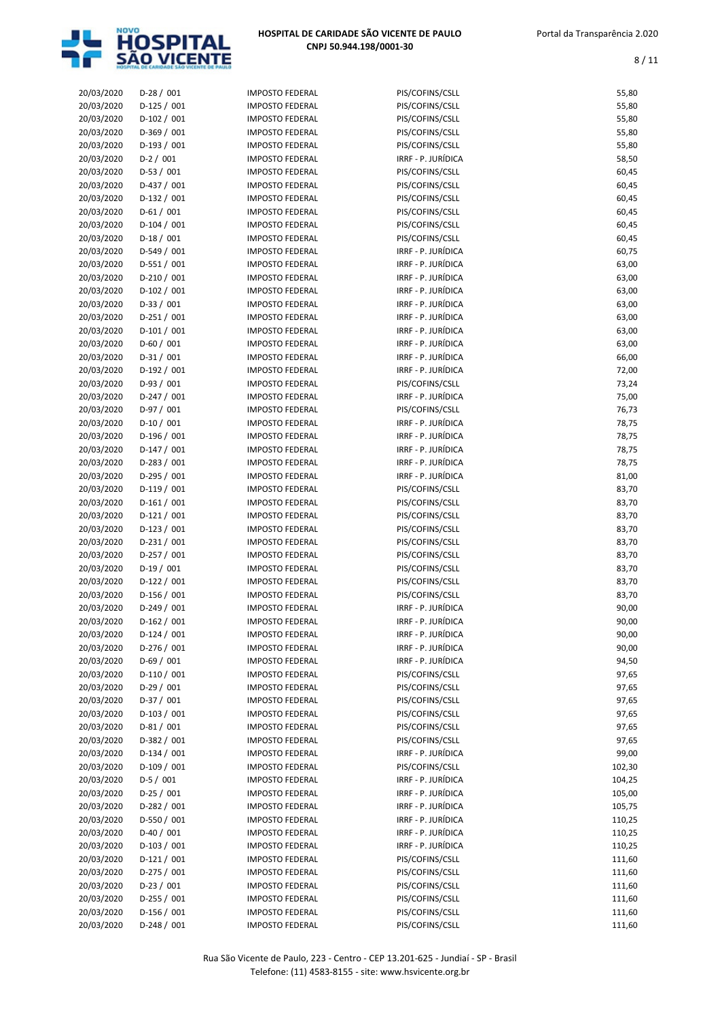

| 20/03/2020 | $D-28/001$    | <b>IMPOSTO FEDERAL</b> | PIS/COFINS/CSLL    | 55,80  |
|------------|---------------|------------------------|--------------------|--------|
| 20/03/2020 | D-125 / 001   | <b>IMPOSTO FEDERAL</b> | PIS/COFINS/CSLL    | 55,80  |
| 20/03/2020 | $D-102 / 001$ | <b>IMPOSTO FEDERAL</b> | PIS/COFINS/CSLL    | 55,80  |
| 20/03/2020 | $D-369/001$   | <b>IMPOSTO FEDERAL</b> | PIS/COFINS/CSLL    | 55,80  |
| 20/03/2020 | $D-193 / 001$ | <b>IMPOSTO FEDERAL</b> | PIS/COFINS/CSLL    | 55,80  |
| 20/03/2020 | $D-2 / 001$   | <b>IMPOSTO FEDERAL</b> | IRRF - P. JURÍDICA | 58,50  |
|            | $D-53 / 001$  | <b>IMPOSTO FEDERAL</b> |                    |        |
| 20/03/2020 |               |                        | PIS/COFINS/CSLL    | 60,45  |
| 20/03/2020 | $D-437 / 001$ | <b>IMPOSTO FEDERAL</b> | PIS/COFINS/CSLL    | 60,45  |
| 20/03/2020 | $D-132 / 001$ | <b>IMPOSTO FEDERAL</b> | PIS/COFINS/CSLL    | 60,45  |
| 20/03/2020 | $D-61/001$    | <b>IMPOSTO FEDERAL</b> | PIS/COFINS/CSLL    | 60,45  |
| 20/03/2020 | $D-104 / 001$ | <b>IMPOSTO FEDERAL</b> | PIS/COFINS/CSLL    | 60,45  |
| 20/03/2020 | $D-18/001$    | <b>IMPOSTO FEDERAL</b> | PIS/COFINS/CSLL    | 60,45  |
| 20/03/2020 | $D-549/001$   | <b>IMPOSTO FEDERAL</b> | IRRF - P. JURÍDICA | 60,75  |
| 20/03/2020 | $D-551/001$   | <b>IMPOSTO FEDERAL</b> | IRRF - P. JURÍDICA | 63,00  |
| 20/03/2020 | $D-210/001$   | <b>IMPOSTO FEDERAL</b> | IRRF - P. JURÍDICA | 63,00  |
| 20/03/2020 | $D-102 / 001$ | <b>IMPOSTO FEDERAL</b> | IRRF - P. JURÍDICA | 63,00  |
| 20/03/2020 | $D-33 / 001$  | <b>IMPOSTO FEDERAL</b> | IRRF - P. JURÍDICA | 63,00  |
| 20/03/2020 | $D-251/001$   | <b>IMPOSTO FEDERAL</b> | IRRF - P. JURÍDICA | 63,00  |
| 20/03/2020 | $D-101/001$   | <b>IMPOSTO FEDERAL</b> | IRRF - P. JURÍDICA | 63,00  |
| 20/03/2020 | $D-60/001$    | <b>IMPOSTO FEDERAL</b> | IRRF - P. JURÍDICA | 63,00  |
| 20/03/2020 | $D-31/001$    | <b>IMPOSTO FEDERAL</b> | IRRF - P. JURÍDICA | 66,00  |
| 20/03/2020 | $D-192 / 001$ | <b>IMPOSTO FEDERAL</b> | IRRF - P. JURÍDICA | 72,00  |
| 20/03/2020 | $D-93/001$    | <b>IMPOSTO FEDERAL</b> | PIS/COFINS/CSLL    | 73,24  |
| 20/03/2020 | $D-247/001$   | <b>IMPOSTO FEDERAL</b> | IRRF - P. JURÍDICA | 75,00  |
| 20/03/2020 | $D-97/001$    | <b>IMPOSTO FEDERAL</b> | PIS/COFINS/CSLL    | 76,73  |
| 20/03/2020 | $D-10/001$    | <b>IMPOSTO FEDERAL</b> | IRRF - P. JURÍDICA | 78,75  |
| 20/03/2020 | $D-196 / 001$ | <b>IMPOSTO FEDERAL</b> | IRRF - P. JURÍDICA | 78,75  |
| 20/03/2020 | $D-147/001$   | <b>IMPOSTO FEDERAL</b> | IRRF - P. JURÍDICA | 78,75  |
| 20/03/2020 | $D-283 / 001$ | <b>IMPOSTO FEDERAL</b> | IRRF - P. JURÍDICA | 78,75  |
| 20/03/2020 | $D-295 / 001$ | <b>IMPOSTO FEDERAL</b> | IRRF - P. JURÍDICA | 81,00  |
| 20/03/2020 | $D-119/001$   | <b>IMPOSTO FEDERAL</b> | PIS/COFINS/CSLL    | 83,70  |
|            |               | <b>IMPOSTO FEDERAL</b> |                    | 83,70  |
| 20/03/2020 | $D-161/001$   |                        | PIS/COFINS/CSLL    |        |
| 20/03/2020 | $D-121/001$   | <b>IMPOSTO FEDERAL</b> | PIS/COFINS/CSLL    | 83,70  |
| 20/03/2020 | $D-123 / 001$ | <b>IMPOSTO FEDERAL</b> | PIS/COFINS/CSLL    | 83,70  |
| 20/03/2020 | $D-231/001$   | <b>IMPOSTO FEDERAL</b> | PIS/COFINS/CSLL    | 83,70  |
| 20/03/2020 | D-257 / 001   | <b>IMPOSTO FEDERAL</b> | PIS/COFINS/CSLL    | 83,70  |
| 20/03/2020 | $D-19/001$    | <b>IMPOSTO FEDERAL</b> | PIS/COFINS/CSLL    | 83,70  |
| 20/03/2020 | $D-122 / 001$ | <b>IMPOSTO FEDERAL</b> | PIS/COFINS/CSLL    | 83,70  |
| 20/03/2020 | D-156 / 001   | <b>IMPOSTO FEDERAL</b> | PIS/COFINS/CSLL    | 83,70  |
| 20/03/2020 | $D-249/001$   | <b>IMPOSTO FEDERAL</b> | IRRF - P. JURÍDICA | 90,00  |
| 20/03/2020 | D-162 / 001   | <b>IMPOSTO FEDERAL</b> | IRRF - P. JURÍDICA | 90,00  |
| 20/03/2020 | $D-124 / 001$ | <b>IMPOSTO FEDERAL</b> | IRRF - P. JURÍDICA | 90,00  |
| 20/03/2020 | $D-276 / 001$ | <b>IMPOSTO FEDERAL</b> | IRRF - P. JURÍDICA | 90,00  |
| 20/03/2020 | $D-69/001$    | <b>IMPOSTO FEDERAL</b> | IRRF - P. JURÍDICA | 94,50  |
| 20/03/2020 | $D-110/001$   | <b>IMPOSTO FEDERAL</b> | PIS/COFINS/CSLL    | 97,65  |
| 20/03/2020 | $D-29/001$    | <b>IMPOSTO FEDERAL</b> | PIS/COFINS/CSLL    | 97,65  |
| 20/03/2020 | $D-37/001$    | <b>IMPOSTO FEDERAL</b> | PIS/COFINS/CSLL    | 97,65  |
| 20/03/2020 | $D-103 / 001$ | <b>IMPOSTO FEDERAL</b> | PIS/COFINS/CSLL    | 97,65  |
| 20/03/2020 | $D-81/001$    | IMPOSTO FEDERAL        | PIS/COFINS/CSLL    | 97,65  |
| 20/03/2020 | $D-382 / 001$ | <b>IMPOSTO FEDERAL</b> | PIS/COFINS/CSLL    | 97,65  |
| 20/03/2020 | D-134 / 001   | <b>IMPOSTO FEDERAL</b> | IRRF - P. JURÍDICA | 99,00  |
| 20/03/2020 | D-109 / 001   | <b>IMPOSTO FEDERAL</b> | PIS/COFINS/CSLL    | 102,30 |
| 20/03/2020 | $D-5/001$     | IMPOSTO FEDERAL        | IRRF - P. JURÍDICA | 104,25 |
| 20/03/2020 | $D-25/001$    | IMPOSTO FEDERAL        | IRRF - P. JURÍDICA | 105,00 |
| 20/03/2020 | $D-282 / 001$ | <b>IMPOSTO FEDERAL</b> | IRRF - P. JURÍDICA | 105,75 |
| 20/03/2020 | $D-550 / 001$ | <b>IMPOSTO FEDERAL</b> | IRRF - P. JURÍDICA | 110,25 |
| 20/03/2020 | $D-40/001$    | IMPOSTO FEDERAL        | IRRF - P. JURÍDICA | 110,25 |
|            |               | <b>IMPOSTO FEDERAL</b> | IRRF - P. JURÍDICA |        |
| 20/03/2020 | $D-103 / 001$ |                        |                    | 110,25 |
| 20/03/2020 | $D-121/001$   | <b>IMPOSTO FEDERAL</b> | PIS/COFINS/CSLL    | 111,60 |
| 20/03/2020 | $D-275/001$   | <b>IMPOSTO FEDERAL</b> | PIS/COFINS/CSLL    | 111,60 |
| 20/03/2020 | D-23 / 001    | <b>IMPOSTO FEDERAL</b> | PIS/COFINS/CSLL    | 111,60 |
| 20/03/2020 | $D-255 / 001$ | <b>IMPOSTO FEDERAL</b> | PIS/COFINS/CSLL    | 111,60 |
| 20/03/2020 | $D-156/001$   | <b>IMPOSTO FEDERAL</b> | PIS/COFINS/CSLL    | 111,60 |
| 20/03/2020 | $D-248/001$   | <b>IMPOSTO FEDERAL</b> | PIS/COFINS/CSLL    | 111,60 |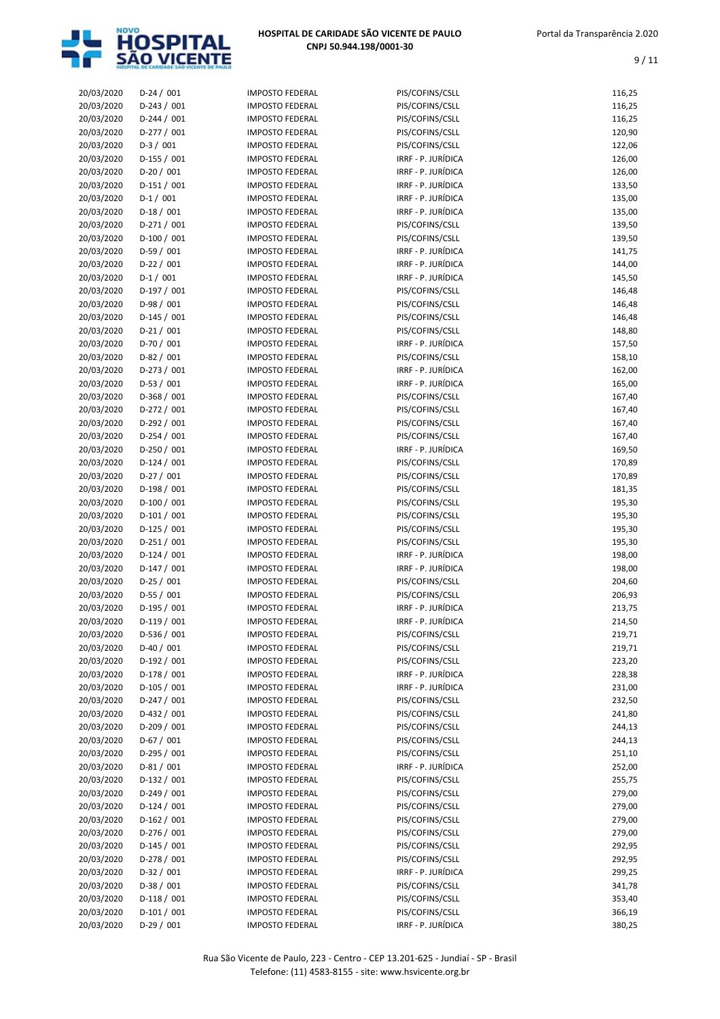

| 20/03/2020 | $D-24/001$    | <b>IMPOSTO FEDERAL</b> | PIS/COFINS/CSLL    | 116,25 |
|------------|---------------|------------------------|--------------------|--------|
| 20/03/2020 | D-243 / 001   | <b>IMPOSTO FEDERAL</b> | PIS/COFINS/CSLL    | 116,25 |
| 20/03/2020 | $D-244 / 001$ | <b>IMPOSTO FEDERAL</b> | PIS/COFINS/CSLL    | 116,25 |
| 20/03/2020 | $D-277/001$   | <b>IMPOSTO FEDERAL</b> | PIS/COFINS/CSLL    | 120,90 |
| 20/03/2020 | $D-3/001$     | <b>IMPOSTO FEDERAL</b> | PIS/COFINS/CSLL    | 122,06 |
| 20/03/2020 | $D-155 / 001$ | <b>IMPOSTO FEDERAL</b> | IRRF - P. JURÍDICA | 126,00 |
| 20/03/2020 | $D-20/001$    | <b>IMPOSTO FEDERAL</b> | IRRF - P. JURÍDICA | 126,00 |
| 20/03/2020 | $D-151/001$   | <b>IMPOSTO FEDERAL</b> | IRRF - P. JURÍDICA | 133,50 |
| 20/03/2020 | $D-1/001$     | <b>IMPOSTO FEDERAL</b> | IRRF - P. JURÍDICA | 135,00 |
| 20/03/2020 | $D-18/001$    | <b>IMPOSTO FEDERAL</b> | IRRF - P. JURÍDICA | 135,00 |
| 20/03/2020 | $D-271/001$   | <b>IMPOSTO FEDERAL</b> | PIS/COFINS/CSLL    | 139,50 |
| 20/03/2020 | $D-100 / 001$ | <b>IMPOSTO FEDERAL</b> | PIS/COFINS/CSLL    | 139,50 |
| 20/03/2020 | $D-59/001$    | <b>IMPOSTO FEDERAL</b> | IRRF - P. JURÍDICA | 141,75 |
| 20/03/2020 | $D-22 / 001$  | <b>IMPOSTO FEDERAL</b> | IRRF - P. JURÍDICA | 144,00 |
| 20/03/2020 | $D-1/001$     | <b>IMPOSTO FEDERAL</b> | IRRF - P. JURÍDICA | 145,50 |
| 20/03/2020 | $D-197/001$   | <b>IMPOSTO FEDERAL</b> | PIS/COFINS/CSLL    | 146,48 |
| 20/03/2020 | $D-98/001$    | <b>IMPOSTO FEDERAL</b> | PIS/COFINS/CSLL    | 146,48 |
| 20/03/2020 | $D-145 / 001$ | <b>IMPOSTO FEDERAL</b> | PIS/COFINS/CSLL    | 146,48 |
| 20/03/2020 | $D-21/001$    | <b>IMPOSTO FEDERAL</b> | PIS/COFINS/CSLL    | 148,80 |
| 20/03/2020 | D-70 / 001    | <b>IMPOSTO FEDERAL</b> | IRRF - P. JURÍDICA | 157,50 |
|            | $D-82/001$    | <b>IMPOSTO FEDERAL</b> | PIS/COFINS/CSLL    |        |
| 20/03/2020 | $D-273 / 001$ | <b>IMPOSTO FEDERAL</b> | IRRF - P. JURÍDICA | 158,10 |
| 20/03/2020 |               |                        |                    | 162,00 |
| 20/03/2020 | $D-53 / 001$  | <b>IMPOSTO FEDERAL</b> | IRRF - P. JURÍDICA | 165,00 |
| 20/03/2020 | $D-368 / 001$ | <b>IMPOSTO FEDERAL</b> | PIS/COFINS/CSLL    | 167,40 |
| 20/03/2020 | $D-272 / 001$ | <b>IMPOSTO FEDERAL</b> | PIS/COFINS/CSLL    | 167,40 |
| 20/03/2020 | $D-292 / 001$ | <b>IMPOSTO FEDERAL</b> | PIS/COFINS/CSLL    | 167,40 |
| 20/03/2020 | $D-254 / 001$ | <b>IMPOSTO FEDERAL</b> | PIS/COFINS/CSLL    | 167,40 |
| 20/03/2020 | $D-250 / 001$ | <b>IMPOSTO FEDERAL</b> | IRRF - P. JURÍDICA | 169,50 |
| 20/03/2020 | $D-124 / 001$ | <b>IMPOSTO FEDERAL</b> | PIS/COFINS/CSLL    | 170,89 |
| 20/03/2020 | $D-27/001$    | <b>IMPOSTO FEDERAL</b> | PIS/COFINS/CSLL    | 170,89 |
| 20/03/2020 | $D-198/001$   | <b>IMPOSTO FEDERAL</b> | PIS/COFINS/CSLL    | 181,35 |
| 20/03/2020 | D-100 / 001   | <b>IMPOSTO FEDERAL</b> | PIS/COFINS/CSLL    | 195,30 |
| 20/03/2020 | $D-101/001$   | <b>IMPOSTO FEDERAL</b> | PIS/COFINS/CSLL    | 195,30 |
| 20/03/2020 | $D-125 / 001$ | <b>IMPOSTO FEDERAL</b> | PIS/COFINS/CSLL    | 195,30 |
| 20/03/2020 | $D-251/001$   | <b>IMPOSTO FEDERAL</b> | PIS/COFINS/CSLL    | 195,30 |
| 20/03/2020 | $D-124 / 001$ | <b>IMPOSTO FEDERAL</b> | IRRF - P. JURÍDICA | 198,00 |
| 20/03/2020 | $D-147/001$   | <b>IMPOSTO FEDERAL</b> | IRRF - P. JURÍDICA | 198,00 |
| 20/03/2020 | $D-25/001$    | <b>IMPOSTO FEDERAL</b> | PIS/COFINS/CSLL    | 204,60 |
| 20/03/2020 | $D-55/001$    | <b>IMPOSTO FEDERAL</b> | PIS/COFINS/CSLL    | 206,93 |
| 20/03/2020 | $D-195 / 001$ | <b>IMPOSTO FEDERAL</b> | IRRF - P. JURÍDICA | 213,75 |
| 20/03/2020 | $D-119/001$   | <b>IMPOSTO FEDERAL</b> | IRRF - P. JURÍDICA | 214,50 |
| 20/03/2020 | $D-536 / 001$ | <b>IMPOSTO FEDERAL</b> | PIS/COFINS/CSLL    | 219,71 |
| 20/03/2020 | $D-40/001$    | <b>IMPOSTO FEDERAL</b> | PIS/COFINS/CSLL    | 219,71 |
| 20/03/2020 | $D-192 / 001$ | <b>IMPOSTO FEDERAL</b> | PIS/COFINS/CSLL    | 223,20 |
| 20/03/2020 | $D-178/001$   | <b>IMPOSTO FEDERAL</b> | IRRF - P. JURÍDICA | 228,38 |
| 20/03/2020 | $D-105 / 001$ | <b>IMPOSTO FEDERAL</b> | IRRF - P. JURÍDICA | 231,00 |
| 20/03/2020 | $D-247/001$   | <b>IMPOSTO FEDERAL</b> | PIS/COFINS/CSLL    | 232,50 |
| 20/03/2020 | $D-432 / 001$ | <b>IMPOSTO FEDERAL</b> | PIS/COFINS/CSLL    | 241,80 |
| 20/03/2020 | $D-209/001$   | <b>IMPOSTO FEDERAL</b> | PIS/COFINS/CSLL    | 244,13 |
| 20/03/2020 | $D-67/001$    | <b>IMPOSTO FEDERAL</b> | PIS/COFINS/CSLL    | 244,13 |
| 20/03/2020 | $D-295 / 001$ | <b>IMPOSTO FEDERAL</b> | PIS/COFINS/CSLL    | 251,10 |
|            | $D-81/001$    |                        | IRRF - P. JURÍDICA |        |
| 20/03/2020 |               | <b>IMPOSTO FEDERAL</b> |                    | 252,00 |
| 20/03/2020 | $D-132 / 001$ | <b>IMPOSTO FEDERAL</b> | PIS/COFINS/CSLL    | 255,75 |
| 20/03/2020 | $D-249/001$   | <b>IMPOSTO FEDERAL</b> | PIS/COFINS/CSLL    | 279,00 |
| 20/03/2020 | $D-124 / 001$ | <b>IMPOSTO FEDERAL</b> | PIS/COFINS/CSLL    | 279,00 |
| 20/03/2020 | $D-162 / 001$ | <b>IMPOSTO FEDERAL</b> | PIS/COFINS/CSLL    | 279,00 |
| 20/03/2020 | $D-276 / 001$ | <b>IMPOSTO FEDERAL</b> | PIS/COFINS/CSLL    | 279,00 |
| 20/03/2020 | $D-145 / 001$ | <b>IMPOSTO FEDERAL</b> | PIS/COFINS/CSLL    | 292,95 |
| 20/03/2020 | $D-278/001$   | <b>IMPOSTO FEDERAL</b> | PIS/COFINS/CSLL    | 292,95 |
| 20/03/2020 | $D-32 / 001$  | <b>IMPOSTO FEDERAL</b> | IRRF - P. JURÍDICA | 299,25 |
| 20/03/2020 | $D-38/001$    | <b>IMPOSTO FEDERAL</b> | PIS/COFINS/CSLL    | 341,78 |
| 20/03/2020 | $D-118/001$   | <b>IMPOSTO FEDERAL</b> | PIS/COFINS/CSLL    | 353,40 |
| 20/03/2020 | $D-101/001$   | <b>IMPOSTO FEDERAL</b> | PIS/COFINS/CSLL    | 366,19 |
| 20/03/2020 | $D-29/001$    | <b>IMPOSTO FEDERAL</b> | IRRF - P. JURÍDICA | 380,25 |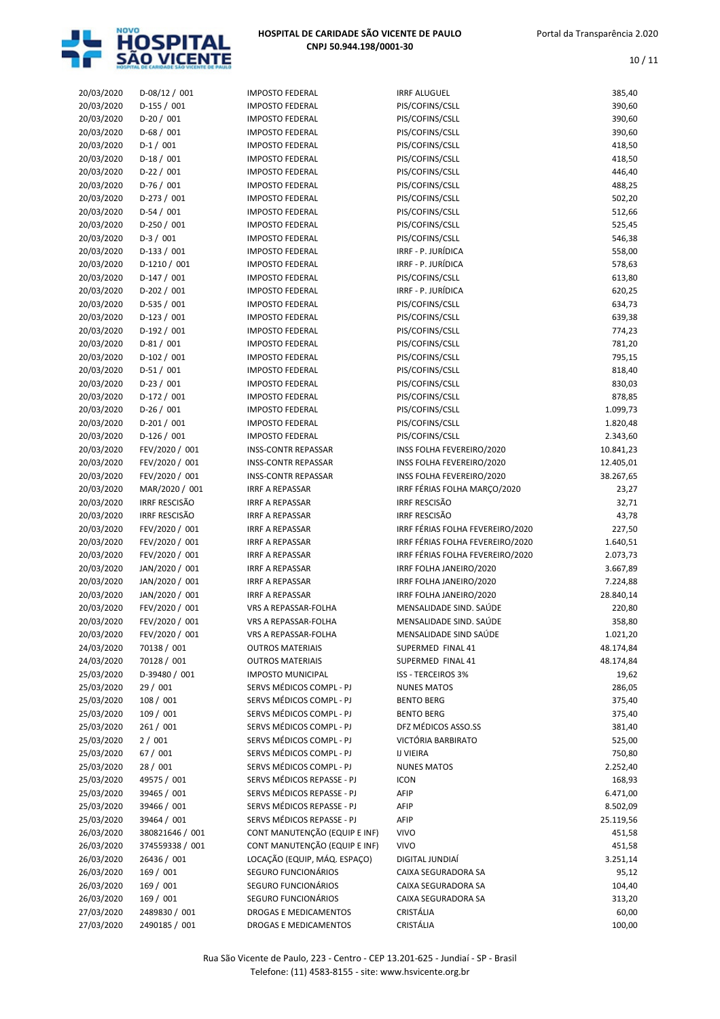

| 20/03/2020               | D-08/12 / 001        | <b>IMPOSTO FEDERAL</b>        | <b>IRRF ALUGUEL</b>              | 385,40    |
|--------------------------|----------------------|-------------------------------|----------------------------------|-----------|
| 20/03/2020               | D-155 / 001          | <b>IMPOSTO FEDERAL</b>        | PIS/COFINS/CSLL                  | 390,60    |
| 20/03/2020               | $D-20/001$           | <b>IMPOSTO FEDERAL</b>        | PIS/COFINS/CSLL                  | 390,60    |
| 20/03/2020               | $D-68/001$           | <b>IMPOSTO FEDERAL</b>        | PIS/COFINS/CSLL                  | 390,60    |
| 20/03/2020               | $D-1/001$            | <b>IMPOSTO FEDERAL</b>        | PIS/COFINS/CSLL                  | 418,50    |
| 20/03/2020               | $D-18/001$           | <b>IMPOSTO FEDERAL</b>        | PIS/COFINS/CSLL                  | 418,50    |
| 20/03/2020               | $D-22/001$           | <b>IMPOSTO FEDERAL</b>        | PIS/COFINS/CSLL                  | 446,40    |
| 20/03/2020               | $D-76/001$           | <b>IMPOSTO FEDERAL</b>        | PIS/COFINS/CSLL                  | 488,25    |
| 20/03/2020               | $D-273 / 001$        | <b>IMPOSTO FEDERAL</b>        | PIS/COFINS/CSLL                  | 502,20    |
| 20/03/2020               | $D-54/001$           | <b>IMPOSTO FEDERAL</b>        | PIS/COFINS/CSLL                  | 512,66    |
| 20/03/2020               | $D-250/001$          | <b>IMPOSTO FEDERAL</b>        | PIS/COFINS/CSLL                  | 525,45    |
| 20/03/2020               | $D-3/001$            | <b>IMPOSTO FEDERAL</b>        | PIS/COFINS/CSLL                  | 546,38    |
|                          |                      | <b>IMPOSTO FEDERAL</b>        |                                  |           |
| 20/03/2020               | $D-133 / 001$        |                               | IRRF - P. JURÍDICA               | 558,00    |
| 20/03/2020               | $D-1210/001$         | <b>IMPOSTO FEDERAL</b>        | IRRF - P. JURÍDICA               | 578,63    |
| 20/03/2020               | $D-147/001$          | <b>IMPOSTO FEDERAL</b>        | PIS/COFINS/CSLL                  | 613,80    |
| 20/03/2020               | $D-202 / 001$        | <b>IMPOSTO FEDERAL</b>        | IRRF - P. JURÍDICA               | 620,25    |
| 20/03/2020               | $D-535 / 001$        | <b>IMPOSTO FEDERAL</b>        | PIS/COFINS/CSLL                  | 634,73    |
| 20/03/2020               | $D-123 / 001$        | <b>IMPOSTO FEDERAL</b>        | PIS/COFINS/CSLL                  | 639,38    |
| 20/03/2020               | $D-192 / 001$        | <b>IMPOSTO FEDERAL</b>        | PIS/COFINS/CSLL                  | 774,23    |
| 20/03/2020               | $D-81/001$           | <b>IMPOSTO FEDERAL</b>        | PIS/COFINS/CSLL                  | 781,20    |
| 20/03/2020               | $D-102 / 001$        | <b>IMPOSTO FEDERAL</b>        | PIS/COFINS/CSLL                  | 795,15    |
| 20/03/2020               | $D-51/001$           | <b>IMPOSTO FEDERAL</b>        | PIS/COFINS/CSLL                  | 818,40    |
| 20/03/2020               | $D-23/001$           | <b>IMPOSTO FEDERAL</b>        | PIS/COFINS/CSLL                  | 830,03    |
| 20/03/2020               | $D-172/001$          | <b>IMPOSTO FEDERAL</b>        | PIS/COFINS/CSLL                  | 878,85    |
| 20/03/2020               | $D-26/001$           | <b>IMPOSTO FEDERAL</b>        | PIS/COFINS/CSLL                  | 1.099,73  |
| 20/03/2020               | $D-201/001$          | <b>IMPOSTO FEDERAL</b>        | PIS/COFINS/CSLL                  | 1.820,48  |
| 20/03/2020               | $D-126 / 001$        | <b>IMPOSTO FEDERAL</b>        | PIS/COFINS/CSLL                  | 2.343,60  |
| 20/03/2020               | FEV/2020 / 001       | <b>INSS-CONTR REPASSAR</b>    | INSS FOLHA FEVEREIRO/2020        | 10.841,23 |
| 20/03/2020               | FEV/2020 / 001       | <b>INSS-CONTR REPASSAR</b>    | INSS FOLHA FEVEREIRO/2020        | 12.405,01 |
| 20/03/2020               | FEV/2020 / 001       | <b>INSS-CONTR REPASSAR</b>    | INSS FOLHA FEVEREIRO/2020        | 38.267,65 |
| 20/03/2020               | MAR/2020 / 001       | <b>IRRF A REPASSAR</b>        | IRRF FÉRIAS FOLHA MARÇO/2020     | 23,27     |
| 20/03/2020               | <b>IRRF RESCISÃO</b> | <b>IRRF A REPASSAR</b>        | <b>IRRF RESCISÃO</b>             | 32,71     |
| 20/03/2020               | <b>IRRF RESCISÃO</b> | <b>IRRF A REPASSAR</b>        | <b>IRRF RESCISÃO</b>             | 43,78     |
| 20/03/2020               | FEV/2020 / 001       | <b>IRRF A REPASSAR</b>        | IRRF FÉRIAS FOLHA FEVEREIRO/2020 | 227,50    |
| 20/03/2020               | FEV/2020 / 001       | <b>IRRF A REPASSAR</b>        | IRRF FÉRIAS FOLHA FEVEREIRO/2020 | 1.640,51  |
| 20/03/2020               | FEV/2020 / 001       | <b>IRRF A REPASSAR</b>        | IRRF FÉRIAS FOLHA FEVEREIRO/2020 | 2.073,73  |
| 20/03/2020               | JAN/2020 / 001       | <b>IRRF A REPASSAR</b>        | IRRF FOLHA JANEIRO/2020          | 3.667,89  |
| 20/03/2020               | JAN/2020 / 001       | <b>IRRF A REPASSAR</b>        | IRRF FOLHA JANEIRO/2020          | 7.224,88  |
| 20/03/2020               | JAN/2020 / 001       | <b>IRRF A REPASSAR</b>        | IRRF FOLHA JANEIRO/2020          | 28.840,14 |
| 20/03/2020               | FEV/2020 / 001       | VRS A REPASSAR-FOLHA          | MENSALIDADE SIND. SAÚDE          | 220,80    |
| 20/03/2020               | FEV/2020 / 001       | VRS A REPASSAR-FOLHA          | MENSALIDADE SIND. SAÚDE          | 358,80    |
| 20/03/2020               | FEV/2020 / 001       | VRS A REPASSAR-FOLHA          | MENSALIDADE SIND SAUDE           | 1.021,20  |
| 24/03/2020               | 70138 / 001          | <b>OUTROS MATERIAIS</b>       | SUPERMED FINAL 41                | 48.174,84 |
| 24/03/2020               | 70128 / 001          | <b>OUTROS MATERIAIS</b>       | SUPERMED FINAL 41                | 48.174,84 |
| 25/03/2020               | D-39480 / 001        | <b>IMPOSTO MUNICIPAL</b>      | <b>ISS - TERCEIROS 3%</b>        | 19,62     |
| 25/03/2020               | 29 / 001             | SERVS MÉDICOS COMPL - PJ      | <b>NUNES MATOS</b>               | 286,05    |
| 25/03/2020               | 108 / 001            | SERVS MÉDICOS COMPL - PJ      | <b>BENTO BERG</b>                | 375,40    |
| 25/03/2020               | 109 / 001            | SERVS MÉDICOS COMPL - PJ      | <b>BENTO BERG</b>                | 375,40    |
|                          |                      | SERVS MÉDICOS COMPL - PJ      | DFZ MÉDICOS ASSO.SS              | 381,40    |
| 25/03/2020<br>25/03/2020 | 261/001<br>2/001     | SERVS MÉDICOS COMPL - PJ      | VICTÓRIA BARBIRATO               |           |
|                          |                      | SERVS MÉDICOS COMPL - PJ      | <b>IJ VIEIRA</b>                 | 525,00    |
| 25/03/2020               | 67 / 001             |                               |                                  | 750,80    |
| 25/03/2020               | 28 / 001             | SERVS MÉDICOS COMPL - PJ      | <b>NUNES MATOS</b>               | 2.252,40  |
| 25/03/2020               | 49575 / 001          | SERVS MÉDICOS REPASSE - PJ    | <b>ICON</b>                      | 168,93    |
| 25/03/2020               | 39465 / 001          | SERVS MÉDICOS REPASSE - PJ    | AFIP                             | 6.471,00  |
| 25/03/2020               | 39466 / 001          | SERVS MÉDICOS REPASSE - PJ    | AFIP                             | 8.502,09  |
| 25/03/2020               | 39464 / 001          | SERVS MÉDICOS REPASSE - PJ    | AFIP                             | 25.119,56 |
| 26/03/2020               | 380821646 / 001      | CONT MANUTENÇÃO (EQUIP E INF) | <b>VIVO</b>                      | 451,58    |
| 26/03/2020               | 374559338 / 001      | CONT MANUTENÇÃO (EQUIP E INF) | <b>VIVO</b>                      | 451,58    |
| 26/03/2020               | 26436 / 001          | LOCAÇÃO (EQUIP, MÁQ. ESPAÇO)  | DIGITAL JUNDIAÍ                  | 3.251,14  |
| 26/03/2020               | 169 / 001            | SEGURO FUNCIONÁRIOS           | CAIXA SEGURADORA SA              | 95,12     |
| 26/03/2020               | 169 / 001            | SEGURO FUNCIONÁRIOS           | CAIXA SEGURADORA SA              | 104,40    |
| 26/03/2020               | 169 / 001            | SEGURO FUNCIONÁRIOS           | CAIXA SEGURADORA SA              | 313,20    |
| 27/03/2020               | 2489830 / 001        | DROGAS E MEDICAMENTOS         | CRISTÁLIA                        | 60,00     |
| 27/03/2020               | 2490185 / 001        | DROGAS E MEDICAMENTOS         | CRISTÁLIA                        | 100,00    |